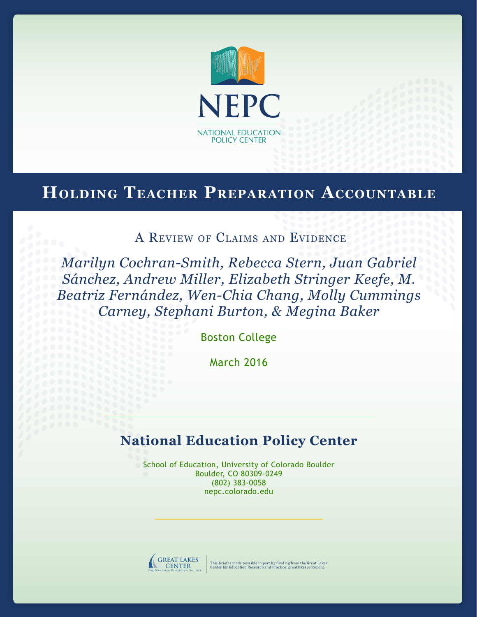

# **Holding Teacher Preparation Accountable**

A Review of Claims and Evidence

*Marilyn Cochran-Smith, Rebecca Stern, Juan Gabriel Sánchez, Andrew Miller, Elizabeth Stringer Keefe, M. Beatriz Fernández, Wen-Chia Chang, Molly Cummings Carney, Stephani Burton, & Megina Baker*

Boston College

March 2016

# **National Education Policy Center**

School of Education, University of Colorado Boulder Boulder, CO 80309-0249 (802) 383-0058 nepc.colorado.edu



This brief is made possible in part by funding from the Great Lakes Center for Education Research and Practice: greatlakescenter.org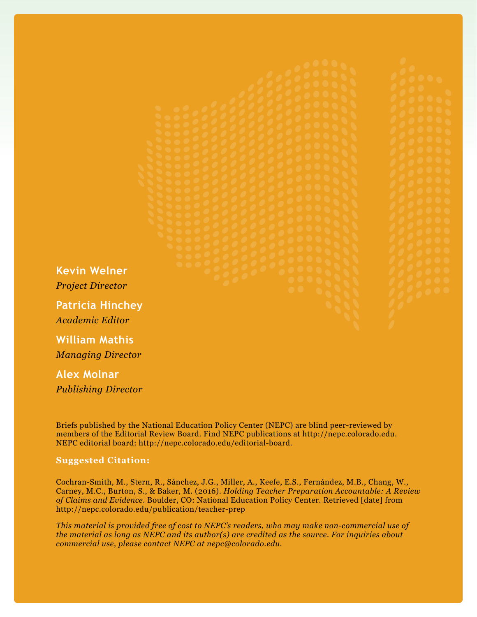**Kevin Welner** *Project Director*

**Patricia Hinchey** *Academic Editor*

**William Mathis** *Managing Director*

**Alex Molnar** *Publishing Director*

Briefs published by the National Education Policy Center (NEPC) are blind peer-reviewed by members of the Editorial Review Board. Find NEPC publications at http://nepc.colorado.edu. NEPC editorial board: http://nepc.colorado.edu/editorial-board.

#### **Suggested Citation:**

Cochran-Smith, M., Stern, R., Sánchez, J.G., Miller, A., Keefe, E.S., Fernández, M.B., Chang, W., Carney, M.C., Burton, S., & Baker, M. (2016). *Holding Teacher Preparation Accountable: A Review of Claims and Evidence*. Boulder, CO: National Education Policy Center. Retrieved [date] from http://nepc.colorado.edu/publication/teacher-prep

*This material is provided free of cost to NEPC's readers, who may make non-commercial use of the material as long as NEPC and its author(s) are credited as the source. For inquiries about commercial use, please contact NEPC at nepc@colorado.edu.*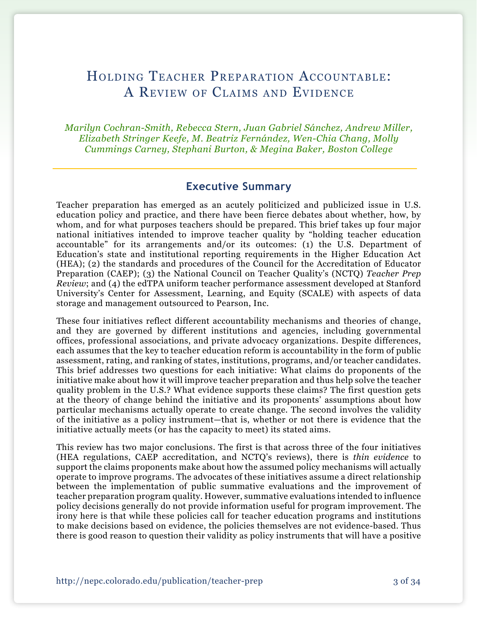# Holding Teacher Preparation Accountable: A Review of Claims and Evidence

*Marilyn Cochran-Smith, Rebecca Stern, Juan Gabriel Sánchez, Andrew Miller, Elizabeth Stringer Keefe, M. Beatriz Fernández, Wen-Chia Chang, Molly Cummings Carney, Stephani Burton, & Megina Baker, Boston College*

# **Executive Summary**

Teacher preparation has emerged as an acutely politicized and publicized issue in U.S. education policy and practice, and there have been fierce debates about whether, how, by whom, and for what purposes teachers should be prepared. This brief takes up four major national initiatives intended to improve teacher quality by "holding teacher education accountable" for its arrangements and/or its outcomes: (1) the  $\tilde{U}$ .S. Department of Education's state and institutional reporting requirements in the Higher Education Act (HEA); (2) the standards and procedures of the Council for the Accreditation of Educator Preparation (CAEP); (3) the National Council on Teacher Quality's (NCTQ) *Teacher Prep Review*; and (4) the edTPA uniform teacher performance assessment developed at Stanford University's Center for Assessment, Learning, and Equity (SCALE) with aspects of data storage and management outsourced to Pearson, Inc.

These four initiatives reflect different accountability mechanisms and theories of change, and they are governed by different institutions and agencies, including governmental offices, professional associations, and private advocacy organizations. Despite differences, each assumes that the key to teacher education reform is accountability in the form of public assessment, rating, and ranking of states, institutions, programs, and/or teacher candidates. This brief addresses two questions for each initiative: What claims do proponents of the initiative make about how it will improve teacher preparation and thus help solve the teacher quality problem in the U.S.? What evidence supports these claims? The first question gets at the theory of change behind the initiative and its proponents' assumptions about how particular mechanisms actually operate to create change. The second involves the validity of the initiative as a policy instrument—that is, whether or not there is evidence that the initiative actually meets (or has the capacity to meet) its stated aims.

This review has two major conclusions. The first is that across three of the four initiatives (HEA regulations, CAEP accreditation, and NCTQ's reviews), there is *thin evidence* to support the claims proponents make about how the assumed policy mechanisms will actually operate to improve programs. The advocates of these initiatives assume a direct relationship between the implementation of public summative evaluations and the improvement of teacher preparation program quality. However, summative evaluations intended to influence policy decisions generally do not provide information useful for program improvement. The irony here is that while these policies call for teacher education programs and institutions to make decisions based on evidence, the policies themselves are not evidence-based. Thus there is good reason to question their validity as policy instruments that will have a positive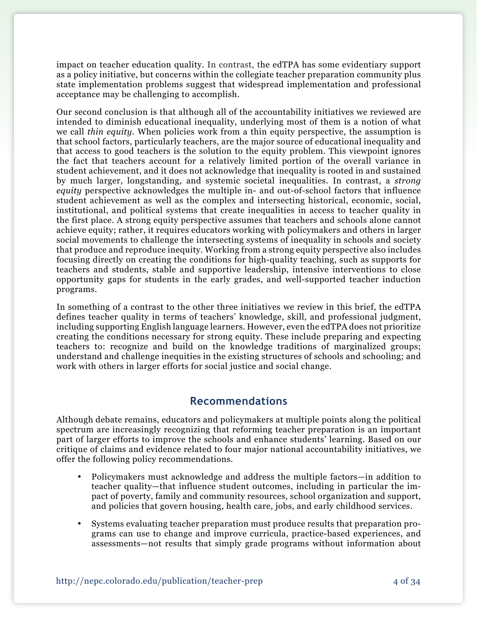impact on teacher education quality. In contrast, the edTPA has some evidentiary support as a policy initiative, but concerns within the collegiate teacher preparation community plus state implementation problems suggest that widespread implementation and professional acceptance may be challenging to accomplish.

Our second conclusion is that although all of the accountability initiatives we reviewed are intended to diminish educational inequality, underlying most of them is a notion of what we call *thin equity.* When policies work from a thin equity perspective, the assumption is that school factors, particularly teachers, are the major source of educational inequality and that access to good teachers is the solution to the equity problem. This viewpoint ignores the fact that teachers account for a relatively limited portion of the overall variance in student achievement, and it does not acknowledge that inequality is rooted in and sustained by much larger, longstanding, and systemic societal inequalities. In contrast, a *strong equity* perspective acknowledges the multiple in- and out-of-school factors that influence student achievement as well as the complex and intersecting historical, economic, social, institutional, and political systems that create inequalities in access to teacher quality in the first place. A strong equity perspective assumes that teachers and schools alone cannot achieve equity; rather, it requires educators working with policymakers and others in larger social movements to challenge the intersecting systems of inequality in schools and society that produce and reproduce inequity. Working from a strong equity perspective also includes focusing directly on creating the conditions for high-quality teaching, such as supports for teachers and students, stable and supportive leadership, intensive interventions to close opportunity gaps for students in the early grades, and well-supported teacher induction programs.

In something of a contrast to the other three initiatives we review in this brief, the edTPA defines teacher quality in terms of teachers' knowledge, skill, and professional judgment, including supporting English language learners. However, even the edTPA does not prioritize creating the conditions necessary for strong equity. These include preparing and expecting teachers to: recognize and build on the knowledge traditions of marginalized groups; understand and challenge inequities in the existing structures of schools and schooling; and work with others in larger efforts for social justice and social change.

# **Recommendations**

Although debate remains, educators and policymakers at multiple points along the political spectrum are increasingly recognizing that reforming teacher preparation is an important part of larger efforts to improve the schools and enhance students' learning. Based on our critique of claims and evidence related to four major national accountability initiatives, we offer the following policy recommendations.

- Policymakers must acknowledge and address the multiple factors—in addition to teacher quality—that influence student outcomes, including in particular the impact of poverty, family and community resources, school organization and support, and policies that govern housing, health care, jobs, and early childhood services.
- Systems evaluating teacher preparation must produce results that preparation programs can use to change and improve curricula, practice-based experiences, and assessments—not results that simply grade programs without information about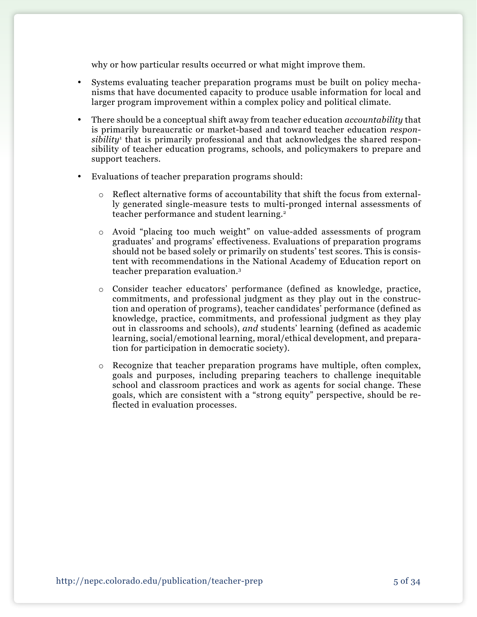why or how particular results occurred or what might improve them.

- • Systems evaluating teacher preparation programs must be built on policy mechanisms that have documented capacity to produce usable information for local and larger program improvement within a complex policy and political climate.
- • There should be a conceptual shift away from teacher education *accountability* that is primarily bureaucratic or market-based and toward teacher education *responsibility*<sup>1</sup> that is primarily professional and that acknowledges the shared responsibility of teacher education programs, schools, and policymakers to prepare and support teachers.
- Evaluations of teacher preparation programs should:
	- o Reflect alternative forms of accountability that shift the focus from externally generated single-measure tests to multi-pronged internal assessments of teacher performance and student learning.<sup>2</sup>
	- o Avoid "placing too much weight" on value-added assessments of program graduates' and programs' effectiveness. Evaluations of preparation programs should not be based solely or primarily on students' test scores. This is consistent with recommendations in the National Academy of Education report on teacher preparation evaluation.3
	- o Consider teacher educators' performance (defined as knowledge, practice, commitments, and professional judgment as they play out in the construction and operation of programs), teacher candidates' performance (defined as knowledge, practice, commitments, and professional judgment as they play out in classrooms and schools), *and* students' learning (defined as academic learning, social/emotional learning, moral/ethical development, and preparation for participation in democratic society).
	- o Recognize that teacher preparation programs have multiple, often complex, goals and purposes, including preparing teachers to challenge inequitable school and classroom practices and work as agents for social change. These goals, which are consistent with a "strong equity" perspective, should be reflected in evaluation processes.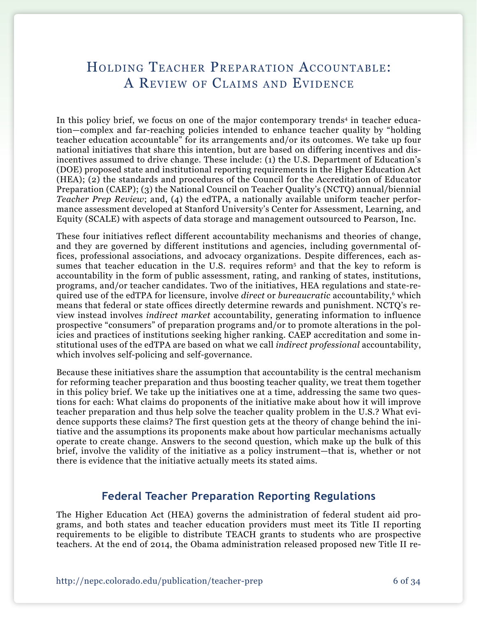# Holding Teacher Preparation Accountable: A Review of Claims and Evidence

In this policy brief, we focus on one of the major contemporary trends<sup>4</sup> in teacher education—complex and far-reaching policies intended to enhance teacher quality by "holding teacher education accountable" for its arrangements and/or its outcomes. We take up four national initiatives that share this intention, but are based on differing incentives and disincentives assumed to drive change. These include: (1) the U.S. Department of Education's (DOE) proposed state and institutional reporting requirements in the Higher Education Act (HEA); (2) the standards and procedures of the Council for the Accreditation of Educator Preparation (CAEP); (3) the National Council on Teacher Quality's (NCTQ) annual/biennial *Teacher Prep Review*; and, (4) the edTPA, a nationally available uniform teacher performance assessment developed at Stanford University's Center for Assessment, Learning, and Equity (SCALE) with aspects of data storage and management outsourced to Pearson, Inc.

These four initiatives reflect different accountability mechanisms and theories of change, and they are governed by different institutions and agencies, including governmental offices, professional associations, and advocacy organizations. Despite differences, each assumes that teacher education in the U.S. requires reform<sup>5</sup> and that the key to reform is accountability in the form of public assessment, rating, and ranking of states, institutions, programs, and/or teacher candidates. Two of the initiatives, HEA regulations and state-required use of the edTPA for licensure, involve *direct* or *bureaucratic* accountability,6 which means that federal or state offices directly determine rewards and punishment. NCTQ's review instead involves *indirect market* accountability, generating information to influence prospective "consumers" of preparation programs and/or to promote alterations in the policies and practices of institutions seeking higher ranking. CAEP accreditation and some institutional uses of the edTPA are based on what we call *indirect professional* accountability, which involves self-policing and self-governance.

Because these initiatives share the assumption that accountability is the central mechanism for reforming teacher preparation and thus boosting teacher quality, we treat them together in this policy brief. We take up the initiatives one at a time, addressing the same two questions for each: What claims do proponents of the initiative make about how it will improve teacher preparation and thus help solve the teacher quality problem in the U.S.? What evidence supports these claims? The first question gets at the theory of change behind the initiative and the assumptions its proponents make about how particular mechanisms actually operate to create change. Answers to the second question, which make up the bulk of this brief, involve the validity of the initiative as a policy instrument—that is, whether or not there is evidence that the initiative actually meets its stated aims.

# **Federal Teacher Preparation Reporting Regulations**

The Higher Education Act (HEA) governs the administration of federal student aid programs, and both states and teacher education providers must meet its Title II reporting requirements to be eligible to distribute TEACH grants to students who are prospective teachers. At the end of 2014, the Obama administration released proposed new Title II re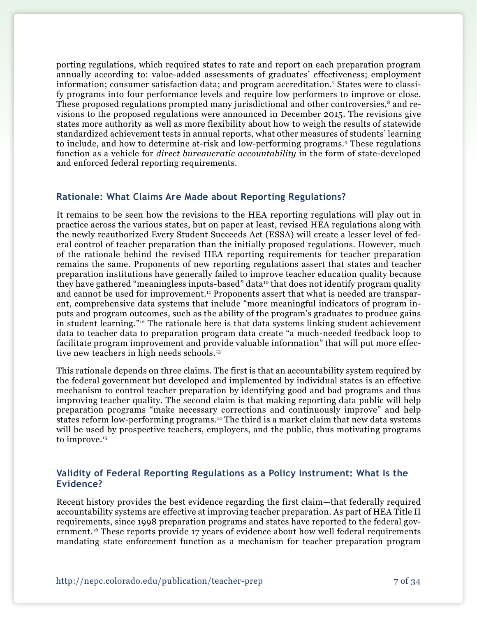porting regulations, which required states to rate and report on each preparation program annually according to: value-added assessments of graduates' effectiveness; employment information; consumer satisfaction data; and program accreditation.7 States were to classify programs into four performance levels and require low performers to improve or close. These proposed regulations prompted many jurisdictional and other controversies,<sup>8</sup> and revisions to the proposed regulations were announced in December 2015. The revisions give states more authority as well as more flexibility about how to weigh the results of statewide standardized achievement tests in annual reports, what other measures of students' learning to include, and how to determine at-risk and low-performing programs.9 These regulations function as a vehicle for *direct bureaucratic accountability* in the form of state-developed and enforced federal reporting requirements.

### **Rationale: What Claims Are Made about Reporting Regulations?**

It remains to be seen how the revisions to the HEA reporting regulations will play out in practice across the various states, but on paper at least, revised HEA regulations along with the newly reauthorized Every Student Succeeds Act (ESSA) will create a lesser level of federal control of teacher preparation than the initially proposed regulations. However, much of the rationale behind the revised HEA reporting requirements for teacher preparation remains the same. Proponents of new reporting regulations assert that states and teacher preparation institutions have generally failed to improve teacher education quality because they have gathered "meaningless inputs-based" data<sup>10</sup> that does not identify program quality and cannot be used for improvement.<sup>11</sup> Proponents assert that what is needed are transparent, comprehensive data systems that include "more meaningful indicators of program inputs and program outcomes, such as the ability of the program's graduates to produce gains in student learning."12 The rationale here is that data systems linking student achievement data to teacher data to preparation program data create "a much-needed feedback loop to facilitate program improvement and provide valuable information" that will put more effective new teachers in high needs schools.<sup>13</sup>

This rationale depends on three claims. The first is that an accountability system required by the federal government but developed and implemented by individual states is an effective mechanism to control teacher preparation by identifying good and bad programs and thus improving teacher quality. The second claim is that making reporting data public will help preparation programs "make necessary corrections and continuously improve" and help states reform low-performing programs.<sup>14</sup> The third is a market claim that new data systems will be used by prospective teachers, employers, and the public, thus motivating programs to improve.<sup>15</sup>

### **Validity of Federal Reporting Regulations as a Policy Instrument: What Is the Evidence?**

Recent history provides the best evidence regarding the first claim—that federally required accountability systems are effective at improving teacher preparation. As part of HEA Title II requirements, since 1998 preparation programs and states have reported to the federal government.<sup>16</sup> These reports provide 17 years of evidence about how well federal requirements mandating state enforcement function as a mechanism for teacher preparation program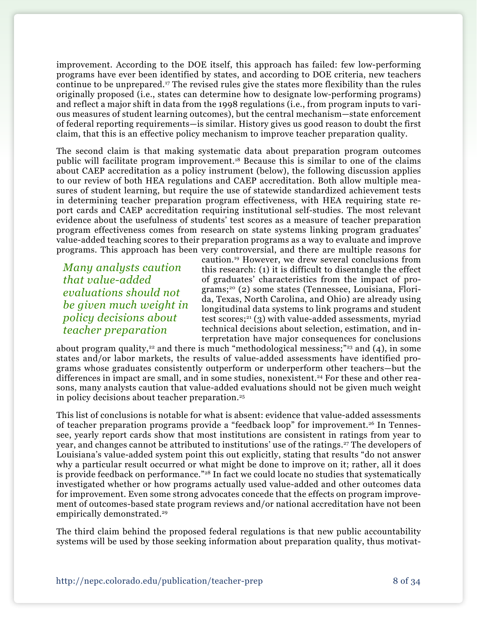improvement. According to the DOE itself, this approach has failed: few low-performing programs have ever been identified by states, and according to DOE criteria, new teachers continue to be unprepared.17 The revised rules give the states more flexibility than the rules originally proposed (i.e., states can determine how to designate low-performing programs) and reflect a major shift in data from the 1998 regulations (i.e., from program inputs to various measures of student learning outcomes), but the central mechanism—state enforcement of federal reporting requirements—is similar. History gives us good reason to doubt the first claim, that this is an effective policy mechanism to improve teacher preparation quality.

The second claim is that making systematic data about preparation program outcomes public will facilitate program improvement.18 Because this is similar to one of the claims about CAEP accreditation as a policy instrument (below), the following discussion applies to our review of both HEA regulations and CAEP accreditation. Both allow multiple measures of student learning, but require the use of statewide standardized achievement tests in determining teacher preparation program effectiveness, with HEA requiring state report cards and CAEP accreditation requiring institutional self-studies. The most relevant evidence about the usefulness of students' test scores as a measure of teacher preparation program effectiveness comes from research on state systems linking program graduates' value-added teaching scores to their preparation programs as a way to evaluate and improve programs. This approach has been very controversial, and there are multiple reasons for

*Many analysts caution that value-added evaluations should not be given much weight in policy decisions about teacher preparation*

caution.19 However, we drew several conclusions from this research: (1) it is difficult to disentangle the effect of graduates' characteristics from the impact of programs;20 (2) some states (Tennessee, Louisiana, Florida, Texas, North Carolina, and Ohio) are already using longitudinal data systems to link programs and student test scores; $21$  (3) with value-added assessments, myriad technical decisions about selection, estimation, and interpretation have major consequences for conclusions

about program quality,<sup>22</sup> and there is much "methodological messiness;"<sup>23</sup> and (4), in some states and/or labor markets, the results of value-added assessments have identified programs whose graduates consistently outperform or underperform other teachers—but the differences in impact are small, and in some studies, nonexistent.<sup>24</sup> For these and other reasons, many analysts caution that value-added evaluations should not be given much weight in policy decisions about teacher preparation.25

This list of conclusions is notable for what is absent: evidence that value-added assessments of teacher preparation programs provide a "feedback loop" for improvement.26 In Tennessee, yearly report cards show that most institutions are consistent in ratings from year to year, and changes cannot be attributed to institutions' use of the ratings.<sup>27</sup> The developers of Louisiana's value-added system point this out explicitly, stating that results "do not answer why a particular result occurred or what might be done to improve on it; rather, all it does is provide feedback on performance."<sup>28</sup> In fact we could locate no studies that systematically investigated whether or how programs actually used value-added and other outcomes data for improvement. Even some strong advocates concede that the effects on program improvement of outcomes-based state program reviews and/or national accreditation have not been empirically demonstrated.<sup>29</sup>

The third claim behind the proposed federal regulations is that new public accountability systems will be used by those seeking information about preparation quality, thus motivat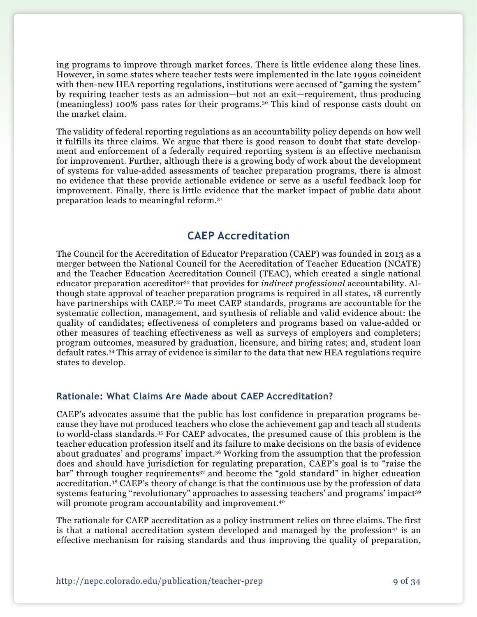ing programs to improve through market forces. There is little evidence along these lines. However, in some states where teacher tests were implemented in the late 1990s coincident with then-new HEA reporting regulations, institutions were accused of "gaming the system" by requiring teacher tests as an admission—but not an exit—requirement, thus producing (meaningless) 100% pass rates for their programs.30 This kind of response casts doubt on the market claim.

The validity of federal reporting regulations as an accountability policy depends on how well it fulfills its three claims. We argue that there is good reason to doubt that state development and enforcement of a federally required reporting system is an effective mechanism for improvement. Further, although there is a growing body of work about the development of systems for value-added assessments of teacher preparation programs, there is almost no evidence that these provide actionable evidence or serve as a useful feedback loop for improvement. Finally, there is little evidence that the market impact of public data about preparation leads to meaningful reform.31

# **CAEP Accreditation**

The Council for the Accreditation of Educator Preparation (CAEP) was founded in 2013 as a merger between the National Council for the Accreditation of Teacher Education (NCATE) and the Teacher Education Accreditation Council (TEAC), which created a single national educator preparation accreditor32 that provides for *indirect professional* accountability. Although state approval of teacher preparation programs is required in all states, 18 currently have partnerships with CAEP.<sup>33</sup> To meet CAEP standards, programs are accountable for the systematic collection, management, and synthesis of reliable and valid evidence about: the quality of candidates; effectiveness of completers and programs based on value-added or other measures of teaching effectiveness as well as surveys of employers and completers; program outcomes, measured by graduation, licensure, and hiring rates; and, student loan default rates.34 This array of evidence is similar to the data that new HEA regulations require states to develop.

### **Rationale: What Claims Are Made about CAEP Accreditation?**

CAEP's advocates assume that the public has lost confidence in preparation programs because they have not produced teachers who close the achievement gap and teach all students to world-class standards.35 For CAEP advocates, the presumed cause of this problem is the teacher education profession itself and its failure to make decisions on the basis of evidence about graduates' and programs' impact.36 Working from the assumption that the profession does and should have jurisdiction for regulating preparation, CAEP's goal is to "raise the bar" through tougher requirements<sup>37</sup> and become the "gold standard" in higher education accreditation.38 CAEP's theory of change is that the continuous use by the profession of data systems featuring "revolutionary" approaches to assessing teachers' and programs' impact<sup>39</sup> will promote program accountability and improvement.<sup>40</sup>

The rationale for CAEP accreditation as a policy instrument relies on three claims. The first is that a national accreditation system developed and managed by the profession<sup>41</sup> is an effective mechanism for raising standards and thus improving the quality of preparation,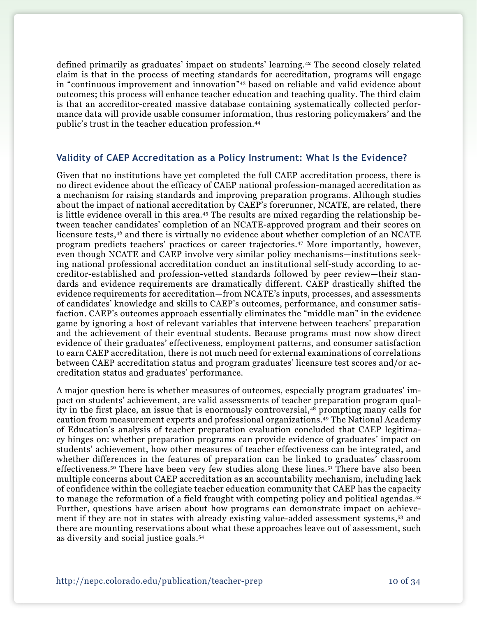defined primarily as graduates' impact on students' learning.42 The second closely related claim is that in the process of meeting standards for accreditation, programs will engage in "continuous improvement and innovation"43 based on reliable and valid evidence about outcomes; this process will enhance teacher education and teaching quality. The third claim is that an accreditor-created massive database containing systematically collected performance data will provide usable consumer information, thus restoring policymakers' and the public's trust in the teacher education profession.44

#### **Validity of CAEP Accreditation as a Policy Instrument: What Is the Evidence?**

Given that no institutions have yet completed the full CAEP accreditation process, there is no direct evidence about the efficacy of CAEP national profession-managed accreditation as a mechanism for raising standards and improving preparation programs. Although studies about the impact of national accreditation by CAEP's forerunner, NCATE, are related, there is little evidence overall in this area.<sup>45</sup> The results are mixed regarding the relationship between teacher candidates' completion of an NCATE-approved program and their scores on licensure tests,46 and there is virtually no evidence about whether completion of an NCATE program predicts teachers' practices or career trajectories.47 More importantly, however, even though NCATE and CAEP involve very similar policy mechanisms—institutions seeking national professional accreditation conduct an institutional self-study according to accreditor-established and profession-vetted standards followed by peer review—their standards and evidence requirements are dramatically different. CAEP drastically shifted the evidence requirements for accreditation—from NCATE's inputs, processes, and assessments of candidates' knowledge and skills to CAEP's outcomes, performance, and consumer satisfaction. CAEP's outcomes approach essentially eliminates the "middle man" in the evidence game by ignoring a host of relevant variables that intervene between teachers' preparation and the achievement of their eventual students. Because programs must now show direct evidence of their graduates' effectiveness, employment patterns, and consumer satisfaction to earn CAEP accreditation, there is not much need for external examinations of correlations between CAEP accreditation status and program graduates' licensure test scores and/or accreditation status and graduates' performance.

A major question here is whether measures of outcomes, especially program graduates' impact on students' achievement, are valid assessments of teacher preparation program quality in the first place, an issue that is enormously controversial,<sup>48</sup> prompting many calls for caution from measurement experts and professional organizations.49 The National Academy of Education's analysis of teacher preparation evaluation concluded that CAEP legitimacy hinges on: whether preparation programs can provide evidence of graduates' impact on students' achievement, how other measures of teacher effectiveness can be integrated, and whether differences in the features of preparation can be linked to graduates' classroom effectiveness.50 There have been very few studies along these lines.51 There have also been multiple concerns about CAEP accreditation as an accountability mechanism, including lack of confidence within the collegiate teacher education community that CAEP has the capacity to manage the reformation of a field fraught with competing policy and political agendas.<sup>52</sup> Further, questions have arisen about how programs can demonstrate impact on achievement if they are not in states with already existing value-added assessment systems,53 and there are mounting reservations about what these approaches leave out of assessment, such as diversity and social justice goals.54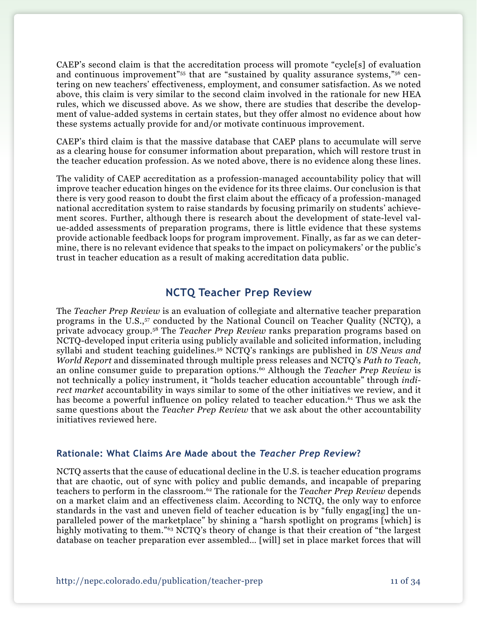CAEP's second claim is that the accreditation process will promote "cycle[s] of evaluation and continuous improvement"<sup>55</sup> that are "sustained by quality assurance systems,"<sup>56</sup> centering on new teachers' effectiveness, employment, and consumer satisfaction. As we noted above, this claim is very similar to the second claim involved in the rationale for new HEA rules, which we discussed above. As we show, there are studies that describe the development of value-added systems in certain states, but they offer almost no evidence about how these systems actually provide for and/or motivate continuous improvement.

CAEP's third claim is that the massive database that CAEP plans to accumulate will serve as a clearing house for consumer information about preparation, which will restore trust in the teacher education profession. As we noted above, there is no evidence along these lines.

The validity of CAEP accreditation as a profession-managed accountability policy that will improve teacher education hinges on the evidence for its three claims. Our conclusion is that there is very good reason to doubt the first claim about the efficacy of a profession-managed national accreditation system to raise standards by focusing primarily on students' achievement scores. Further, although there is research about the development of state-level value-added assessments of preparation programs, there is little evidence that these systems provide actionable feedback loops for program improvement. Finally, as far as we can determine, there is no relevant evidence that speaks to the impact on policymakers' or the public's trust in teacher education as a result of making accreditation data public.

# **NCTQ Teacher Prep Review**

The *Teacher Prep Review* is an evaluation of collegiate and alternative teacher preparation programs in the U.S.,<sup>57</sup> conducted by the National Council on Teacher Quality (NCTQ), a private advocacy group.58 The *Teacher Prep Review* ranks preparation programs based on NCTQ-developed input criteria using publicly available and solicited information, including syllabi and student teaching guidelines.59 NCTQ's rankings are published in *US News and World Report* and disseminated through multiple press releases and NCTQ's *Path to Teach,* an online consumer guide to preparation options.60 Although the *Teacher Prep Review* is not technically a policy instrument, it "holds teacher education accountable" through *indirect market* accountability in ways similar to some of the other initiatives we review, and it has become a powerful influence on policy related to teacher education.<sup>61</sup> Thus we ask the same questions about the *Teacher Prep Review* that we ask about the other accountability initiatives reviewed here.

### **Rationale: What Claims Are Made about the** *Teacher Prep Review***?**

NCTQ asserts that the cause of educational decline in the U.S. is teacher education programs that are chaotic, out of sync with policy and public demands, and incapable of preparing teachers to perform in the classroom.62 The rationale for the *Teacher Prep Review* depends on a market claim and an effectiveness claim. According to NCTQ, the only way to enforce standards in the vast and uneven field of teacher education is by "fully engag[ing] the unparalleled power of the marketplace" by shining a "harsh spotlight on programs [which] is highly motivating to them."63 NCTQ's theory of change is that their creation of "the largest database on teacher preparation ever assembled… [will] set in place market forces that will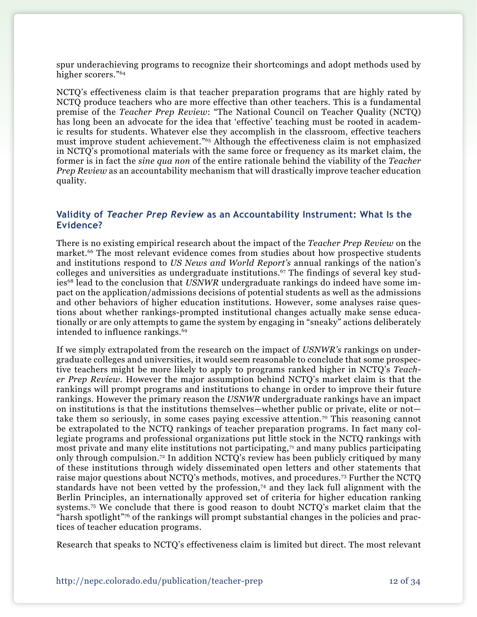spur underachieving programs to recognize their shortcomings and adopt methods used by higher scorers."64

NCTQ's effectiveness claim is that teacher preparation programs that are highly rated by NCTQ produce teachers who are more effective than other teachers. This is a fundamental premise of the *Teacher Prep Review*: "The National Council on Teacher Quality (NCTQ) has long been an advocate for the idea that 'effective' teaching must be rooted in academic results for students. Whatever else they accomplish in the classroom, effective teachers must improve student achievement."65 Although the effectiveness claim is not emphasized in NCTQ's promotional materials with the same force or frequency as its market claim, the former is in fact the *sine qua non* of the entire rationale behind the viability of the *Teacher Prep Review* as an accountability mechanism that will drastically improve teacher education quality.

### **Validity of** *Teacher Prep Review* **as an Accountability Instrument: What Is the Evidence?**

There is no existing empirical research about the impact of the *Teacher Prep Review* on the market.<sup>66</sup> The most relevant evidence comes from studies about how prospective students and institutions respond to *US News and World Report's* annual rankings of the nation's colleges and universities as undergraduate institutions.<sup>67</sup> The findings of several key studies<sup>68</sup> lead to the conclusion that *USNWR* undergraduate rankings do indeed have some impact on the application/admissions decisions of potential students as well as the admissions and other behaviors of higher education institutions. However, some analyses raise questions about whether rankings-prompted institutional changes actually make sense educationally or are only attempts to game the system by engaging in "sneaky" actions deliberately intended to influence rankings.<sup>69</sup>

If we simply extrapolated from the research on the impact of *USNWR's* rankings on undergraduate colleges and universities, it would seem reasonable to conclude that some prospective teachers might be more likely to apply to programs ranked higher in NCTQ's *Teacher Prep Review*. However the major assumption behind NCTQ's market claim is that the rankings will prompt programs and institutions to change in order to improve their future rankings. However the primary reason the *USNWR* undergraduate rankings have an impact on institutions is that the institutions themselves—whether public or private, elite or not take them so seriously, in some cases paying excessive attention.70 This reasoning cannot be extrapolated to the NCTQ rankings of teacher preparation programs. In fact many collegiate programs and professional organizations put little stock in the NCTQ rankings with most private and many elite institutions not participating,<sup>71</sup> and many publics participating only through compulsion.72 In addition NCTQ's review has been publicly critiqued by many of these institutions through widely disseminated open letters and other statements that raise major questions about NCTQ's methods, motives, and procedures.73 Further the NCTQ standards have not been vetted by the profession,74 and they lack full alignment with the Berlin Principles, an internationally approved set of criteria for higher education ranking systems.75 We conclude that there is good reason to doubt NCTQ's market claim that the "harsh spotlight"76 of the rankings will prompt substantial changes in the policies and practices of teacher education programs.

Research that speaks to NCTQ's effectiveness claim is limited but direct. The most relevant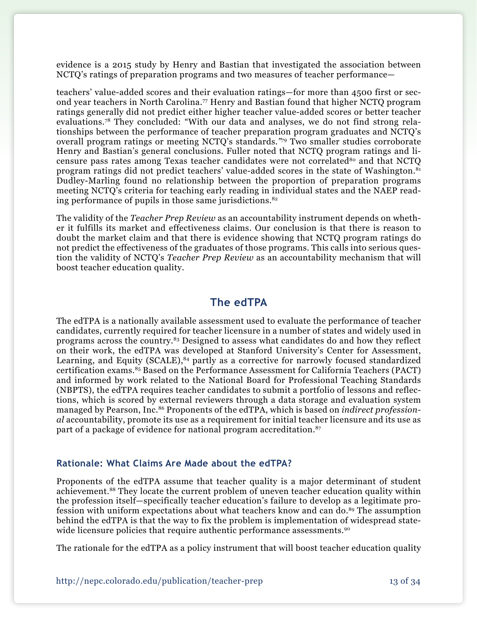evidence is a 2015 study by Henry and Bastian that investigated the association between NCTQ's ratings of preparation programs and two measures of teacher performance—

teachers' value-added scores and their evaluation ratings—for more than 4500 first or second year teachers in North Carolina.77 Henry and Bastian found that higher NCTQ program ratings generally did not predict either higher teacher value-added scores or better teacher evaluations.78 They concluded: "With our data and analyses, we do not find strong relationships between the performance of teacher preparation program graduates and NCTQ's overall program ratings or meeting NCTQ's standards*."79* Two smaller studies corroborate Henry and Bastian's general conclusions. Fuller noted that NCTQ program ratings and licensure pass rates among Texas teacher candidates were not correlated<sup>80</sup> and that NCTO program ratings did not predict teachers' value-added scores in the state of Washington.81 Dudley-Marling found no relationship between the proportion of preparation programs meeting NCTQ's criteria for teaching early reading in individual states and the NAEP reading performance of pupils in those same jurisdictions. $82$ 

The validity of the *Teacher Prep Review* as an accountability instrument depends on whether it fulfills its market and effectiveness claims. Our conclusion is that there is reason to doubt the market claim and that there is evidence showing that NCTQ program ratings do not predict the effectiveness of the graduates of those programs. This calls into serious question the validity of NCTQ's *Teacher Prep Review* as an accountability mechanism that will boost teacher education quality.

## **The edTPA**

The edTPA is a nationally available assessment used to evaluate the performance of teacher candidates, currently required for teacher licensure in a number of states and widely used in programs across the country.83 Designed to assess what candidates do and how they reflect on their work, the edTPA was developed at Stanford University's Center for Assessment, Learning, and Equity  $(SCALE)^{84}$  partly as a corrective for narrowly focused standardized certification exams.85 Based on the Performance Assessment for California Teachers (PACT) and informed by work related to the National Board for Professional Teaching Standards (NBPTS), the edTPA requires teacher candidates to submit a portfolio of lessons and reflections, which is scored by external reviewers through a data storage and evaluation system managed by Pearson, Inc.86 Proponents of the edTPA, which is based on *indirect professional* accountability, promote its use as a requirement for initial teacher licensure and its use as part of a package of evidence for national program accreditation.<sup>87</sup>

#### **Rationale: What Claims Are Made about the edTPA?**

Proponents of the edTPA assume that teacher quality is a major determinant of student achievement.88 They locate the current problem of uneven teacher education quality within the profession itself—specifically teacher education's failure to develop as a legitimate profession with uniform expectations about what teachers know and can do.<sup>89</sup> The assumption behind the edTPA is that the way to fix the problem is implementation of widespread statewide licensure policies that require authentic performance assessments.<sup>90</sup>

The rationale for the edTPA as a policy instrument that will boost teacher education quality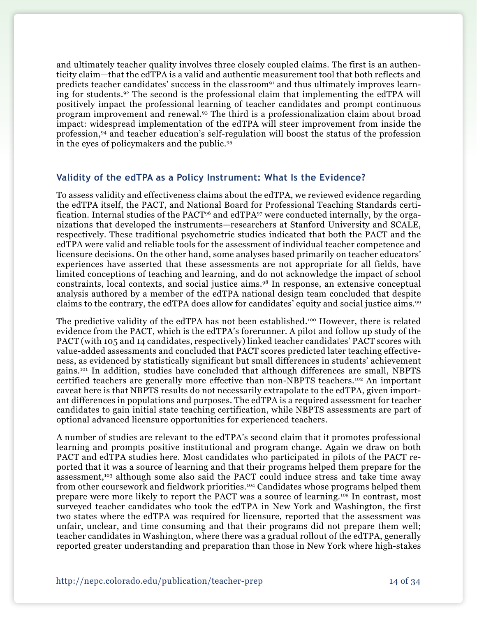and ultimately teacher quality involves three closely coupled claims. The first is an authenticity claim—that the edTPA is a valid and authentic measurement tool that both reflects and predicts teacher candidates' success in the classroom<sup>91</sup> and thus ultimately improves learning for students.92 The second is the professional claim that implementing the edTPA will positively impact the professional learning of teacher candidates and prompt continuous program improvement and renewal.93 The third is a professionalization claim about broad impact: widespread implementation of the edTPA will steer improvement from inside the profession,94 and teacher education's self-regulation will boost the status of the profession in the eyes of policymakers and the public.95

#### **Validity of the edTPA as a Policy Instrument: What Is the Evidence?**

To assess validity and effectiveness claims about the edTPA, we reviewed evidence regarding the edTPA itself, the PACT, and National Board for Professional Teaching Standards certification. Internal studies of the PACT96 and edTPA97 were conducted internally, by the organizations that developed the instruments—researchers at Stanford University and SCALE, respectively. These traditional psychometric studies indicated that both the PACT and the edTPA were valid and reliable tools for the assessment of individual teacher competence and licensure decisions. On the other hand, some analyses based primarily on teacher educators' experiences have asserted that these assessments are not appropriate for all fields, have limited conceptions of teaching and learning, and do not acknowledge the impact of school constraints, local contexts, and social justice aims.98 In response, an extensive conceptual analysis authored by a member of the edTPA national design team concluded that despite claims to the contrary, the edTPA does allow for candidates' equity and social justice aims.99

The predictive validity of the edTPA has not been established.<sup>100</sup> However, there is related evidence from the PACT, which is the edTPA's forerunner. A pilot and follow up study of the PACT (with 105 and 14 candidates, respectively) linked teacher candidates' PACT scores with value-added assessments and concluded that PACT scores predicted later teaching effectiveness, as evidenced by statistically significant but small differences in students' achievement gains.101 In addition, studies have concluded that although differences are small, NBPTS certified teachers are generally more effective than non-NBPTS teachers.<sup>102</sup> An important caveat here is that NBPTS results do not necessarily extrapolate to the edTPA, given important differences in populations and purposes. The edTPA is a required assessment for teacher candidates to gain initial state teaching certification, while NBPTS assessments are part of optional advanced licensure opportunities for experienced teachers.

A number of studies are relevant to the edTPA's second claim that it promotes professional learning and prompts positive institutional and program change. Again we draw on both PACT and edTPA studies here. Most candidates who participated in pilots of the PACT reported that it was a source of learning and that their programs helped them prepare for the assessment,103 although some also said the PACT could induce stress and take time away from other coursework and fieldwork priorities.104 Candidates whose programs helped them prepare were more likely to report the PACT was a source of learning.105 In contrast, most surveyed teacher candidates who took the edTPA in New York and Washington, the first two states where the edTPA was required for licensure, reported that the assessment was unfair, unclear, and time consuming and that their programs did not prepare them well; teacher candidates in Washington, where there was a gradual rollout of the edTPA, generally reported greater understanding and preparation than those in New York where high-stakes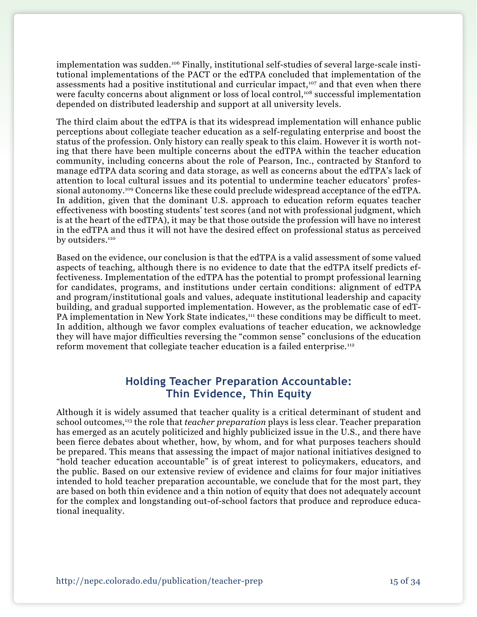implementation was sudden.106 Finally, institutional self-studies of several large-scale institutional implementations of the PACT or the edTPA concluded that implementation of the assessments had a positive institutional and curricular impact,<sup>107</sup> and that even when there were faculty concerns about alignment or loss of local control,<sup>108</sup> successful implementation depended on distributed leadership and support at all university levels.

The third claim about the edTPA is that its widespread implementation will enhance public perceptions about collegiate teacher education as a self-regulating enterprise and boost the status of the profession. Only history can really speak to this claim. However it is worth noting that there have been multiple concerns about the edTPA within the teacher education community, including concerns about the role of Pearson, Inc., contracted by Stanford to manage edTPA data scoring and data storage, as well as concerns about the edTPA's lack of attention to local cultural issues and its potential to undermine teacher educators' professional autonomy.109 Concerns like these could preclude widespread acceptance of the edTPA. In addition, given that the dominant U.S. approach to education reform equates teacher effectiveness with boosting students' test scores (and not with professional judgment, which is at the heart of the edTPA), it may be that those outside the profession will have no interest in the edTPA and thus it will not have the desired effect on professional status as perceived by outsiders.<sup>110</sup>

Based on the evidence, our conclusion is that the edTPA is a valid assessment of some valued aspects of teaching, although there is no evidence to date that the edTPA itself predicts effectiveness. Implementation of the edTPA has the potential to prompt professional learning for candidates, programs, and institutions under certain conditions: alignment of edTPA and program/institutional goals and values, adequate institutional leadership and capacity building, and gradual supported implementation. However, as the problematic case of edT-PA implementation in New York State indicates,<sup>111</sup> these conditions may be difficult to meet. In addition, although we favor complex evaluations of teacher education, we acknowledge they will have major difficulties reversing the "common sense" conclusions of the education reform movement that collegiate teacher education is a failed enterprise.112

# **Holding Teacher Preparation Accountable: Thin Evidence, Thin Equity**

Although it is widely assumed that teacher quality is a critical determinant of student and school outcomes,113 the role that *teacher preparation* plays is less clear. Teacher preparation has emerged as an acutely politicized and highly publicized issue in the U.S., and there have been fierce debates about whether, how, by whom, and for what purposes teachers should be prepared. This means that assessing the impact of major national initiatives designed to "hold teacher education accountable" is of great interest to policymakers, educators, and the public. Based on our extensive review of evidence and claims for four major initiatives intended to hold teacher preparation accountable, we conclude that for the most part, they are based on both thin evidence and a thin notion of equity that does not adequately account for the complex and longstanding out-of-school factors that produce and reproduce educational inequality.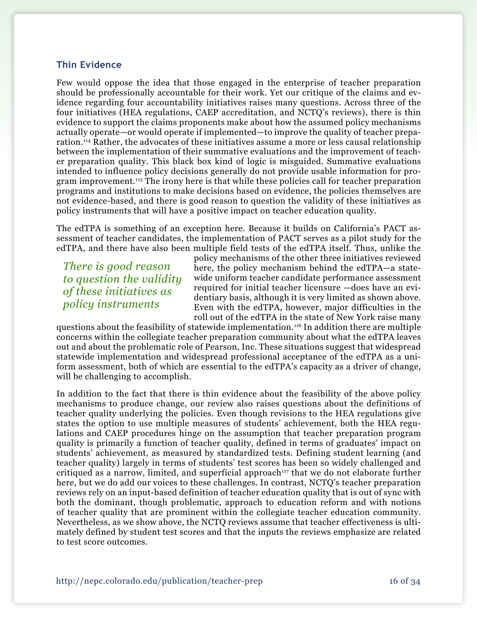### **Thin Evidence**

Few would oppose the idea that those engaged in the enterprise of teacher preparation should be professionally accountable for their work. Yet our critique of the claims and evidence regarding four accountability initiatives raises many questions. Across three of the four initiatives (HEA regulations, CAEP accreditation, and NCTQ's reviews), there is thin evidence to support the claims proponents make about how the assumed policy mechanisms actually operate—or would operate if implemented—to improve the quality of teacher preparation.114 Rather, the advocates of these initiatives assume a more or less causal relationship between the implementation of their summative evaluations and the improvement of teacher preparation quality. This black box kind of logic is misguided. Summative evaluations intended to influence policy decisions generally do not provide usable information for program improvement.<sup>115</sup> The irony here is that while these policies call for teacher preparation programs and institutions to make decisions based on evidence, the policies themselves are not evidence-based, and there is good reason to question the validity of these initiatives as policy instruments that will have a positive impact on teacher education quality.

The edTPA is something of an exception here. Because it builds on California's PACT assessment of teacher candidates, the implementation of PACT serves as a pilot study for the edTPA, and there have also been multiple field tests of the edTPA itself. Thus, unlike the

*There is good reason to question the validity of these initiatives as policy instruments* 

policy mechanisms of the other three initiatives reviewed here, the policy mechanism behind the edTPA—a statewide uniform teacher candidate performance assessment required for initial teacher licensure —does have an evidentiary basis, although it is very limited as shown above. Even with the edTPA, however, major difficulties in the roll out of the edTPA in the state of New York raise many

questions about the feasibility of statewide implementation.116 In addition there are multiple concerns within the collegiate teacher preparation community about what the edTPA leaves out and about the problematic role of Pearson, Inc. These situations suggest that widespread statewide implementation and widespread professional acceptance of the edTPA as a uniform assessment, both of which are essential to the edTPA's capacity as a driver of change, will be challenging to accomplish.

In addition to the fact that there is thin evidence about the feasibility of the above policy mechanisms to produce change, our review also raises questions about the definitions of teacher quality underlying the policies. Even though revisions to the HEA regulations give states the option to use multiple measures of students' achievement, both the HEA regulations and CAEP procedures hinge on the assumption that teacher preparation program quality is primarily a function of teacher quality, defined in terms of graduates' impact on students' achievement, as measured by standardized tests. Defining student learning (and teacher quality) largely in terms of students' test scores has been so widely challenged and critiqued as a narrow, limited, and superficial approach<sup>117</sup> that we do not elaborate further here, but we do add our voices to these challenges. In contrast, NCTQ's teacher preparation reviews rely on an input-based definition of teacher education quality that is out of sync with both the dominant, though problematic, approach to education reform and with notions of teacher quality that are prominent within the collegiate teacher education community. Nevertheless, as we show above, the NCTQ reviews assume that teacher effectiveness is ultimately defined by student test scores and that the inputs the reviews emphasize are related to test score outcomes.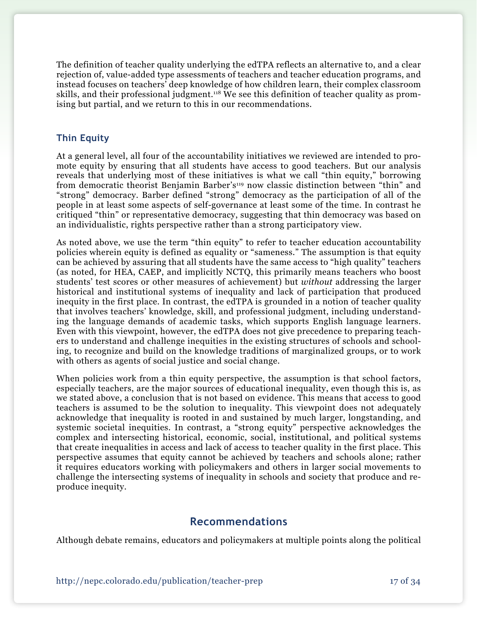The definition of teacher quality underlying the edTPA reflects an alternative to, and a clear rejection of, value-added type assessments of teachers and teacher education programs, and instead focuses on teachers' deep knowledge of how children learn, their complex classroom skills, and their professional judgment.<sup>118</sup> We see this definition of teacher quality as promising but partial, and we return to this in our recommendations.

## **Thin Equity**

At a general level, all four of the accountability initiatives we reviewed are intended to promote equity by ensuring that all students have access to good teachers. But our analysis reveals that underlying most of these initiatives is what we call "thin equity," borrowing from democratic theorist Benjamin Barber's<sup>119</sup> now classic distinction between "thin" and "strong" democracy. Barber defined "strong" democracy as the participation of all of the people in at least some aspects of self-governance at least some of the time. In contrast he critiqued "thin" or representative democracy, suggesting that thin democracy was based on an individualistic, rights perspective rather than a strong participatory view.

As noted above, we use the term "thin equity" to refer to teacher education accountability policies wherein equity is defined as equality or "sameness." The assumption is that equity can be achieved by assuring that all students have the same access to "high quality" teachers (as noted, for HEA, CAEP, and implicitly NCTQ, this primarily means teachers who boost students' test scores or other measures of achievement) but *without* addressing the larger historical and institutional systems of inequality and lack of participation that produced inequity in the first place. In contrast, the edTPA is grounded in a notion of teacher quality that involves teachers' knowledge, skill, and professional judgment, including understanding the language demands of academic tasks, which supports English language learners. Even with this viewpoint, however, the edTPA does not give precedence to preparing teachers to understand and challenge inequities in the existing structures of schools and schooling, to recognize and build on the knowledge traditions of marginalized groups, or to work with others as agents of social justice and social change.

When policies work from a thin equity perspective, the assumption is that school factors, especially teachers, are the major sources of educational inequality, even though this is, as we stated above, a conclusion that is not based on evidence. This means that access to good teachers is assumed to be the solution to inequality. This viewpoint does not adequately acknowledge that inequality is rooted in and sustained by much larger, longstanding, and systemic societal inequities. In contrast, a "strong equity" perspective acknowledges the complex and intersecting historical, economic, social, institutional, and political systems that create inequalities in access and lack of access to teacher quality in the first place. This perspective assumes that equity cannot be achieved by teachers and schools alone; rather it requires educators working with policymakers and others in larger social movements to challenge the intersecting systems of inequality in schools and society that produce and reproduce inequity.

# **Recommendations**

Although debate remains, educators and policymakers at multiple points along the political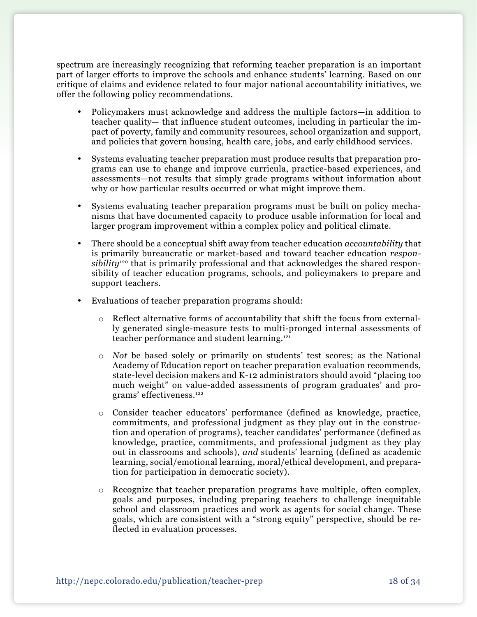spectrum are increasingly recognizing that reforming teacher preparation is an important part of larger efforts to improve the schools and enhance students' learning. Based on our critique of claims and evidence related to four major national accountability initiatives, we offer the following policy recommendations.

- Policymakers must acknowledge and address the multiple factors—in addition to teacher quality— that influence student outcomes, including in particular the impact of poverty, family and community resources, school organization and support, and policies that govern housing, health care, jobs, and early childhood services.
- Systems evaluating teacher preparation must produce results that preparation programs can use to change and improve curricula, practice-based experiences, and assessments—not results that simply grade programs without information about why or how particular results occurred or what might improve them.
- Systems evaluating teacher preparation programs must be built on policy mechanisms that have documented capacity to produce usable information for local and larger program improvement within a complex policy and political climate.
- • There should be a conceptual shift away from teacher education *accountability* that is primarily bureaucratic or market-based and toward teacher education *responsibility*120 that is primarily professional and that acknowledges the shared responsibility of teacher education programs, schools, and policymakers to prepare and support teachers.
- • Evaluations of teacher preparation programs should:
	- o Reflect alternative forms of accountability that shift the focus from externally generated single-measure tests to multi-pronged internal assessments of teacher performance and student learning.121
	- o *Not* be based solely or primarily on students' test scores; as the National Academy of Education report on teacher preparation evaluation recommends, state-level decision makers and K-12 administrators should avoid "placing too much weight" on value-added assessments of program graduates' and programs' effectiveness.122
	- o Consider teacher educators' performance (defined as knowledge, practice, commitments, and professional judgment as they play out in the construction and operation of programs), teacher candidates' performance (defined as knowledge, practice, commitments, and professional judgment as they play out in classrooms and schools), *and* students' learning (defined as academic learning, social/emotional learning, moral/ethical development, and preparation for participation in democratic society).
	- o Recognize that teacher preparation programs have multiple, often complex, goals and purposes, including preparing teachers to challenge inequitable school and classroom practices and work as agents for social change. These goals, which are consistent with a "strong equity" perspective, should be reflected in evaluation processes.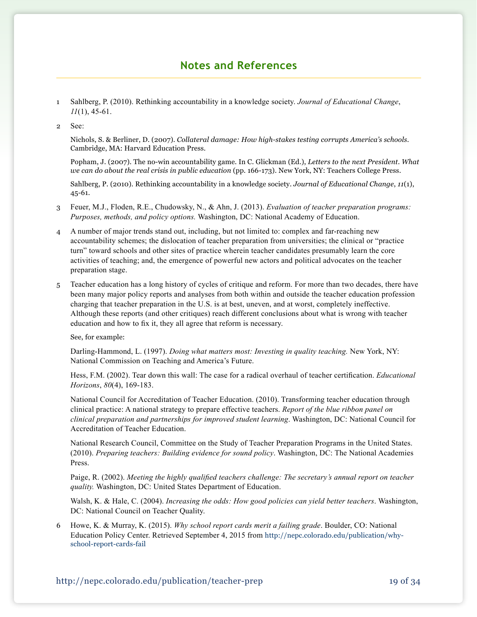# **Notes and References**

- 1 Sahlberg, P. (2010). Rethinking accountability in a knowledge society. *Journal of Educational Change*, *11*(1), 45-61.
- 2 See:

Nichols, S. & Berliner, D. (2007). *Collateral damage: How high-stakes testing corrupts America's schools*. Cambridge, MA: Harvard Education Press.

Popham, J. (2007). The no-win accountability game. In C. Glickman (Ed.), *Letters to the next President. What we can do about the real crisis in public education* (pp. 166-173). New York, NY: Teachers College Press.

Sahlberg, P. (2010). Rethinking accountability in a knowledge society. *Journal of Educational Change*, *11*(1), 45-61.

- 3 Feuer, M.J., Floden, R.E., Chudowsky, N., & Ahn, J. (2013). *Evaluation of teacher preparation programs: Purposes, methods, and policy options.* Washington, DC: National Academy of Education.
- 4 A number of major trends stand out, including, but not limited to: complex and far-reaching new accountability schemes; the dislocation of teacher preparation from universities; the clinical or "practice turn" toward schools and other sites of practice wherein teacher candidates presumably learn the core activities of teaching; and, the emergence of powerful new actors and political advocates on the teacher preparation stage.
- 5 Teacher education has a long history of cycles of critique and reform. For more than two decades, there have been many major policy reports and analyses from both within and outside the teacher education profession charging that teacher preparation in the U.S. is at best, uneven, and at worst, completely ineffective. Although these reports (and other critiques) reach different conclusions about what is wrong with teacher education and how to fix it, they all agree that reform is necessary.

See, for example:

Darling-Hammond, L. (1997). *Doing what matters most: Investing in quality teaching*. New York, NY: National Commission on Teaching and America's Future.

Hess, F.M. (2002). Tear down this wall: The case for a radical overhaul of teacher certification. *Educational Horizons*, *80*(4), 169-183.

National Council for Accreditation of Teacher Education. (2010). Transforming teacher education through clinical practice: A national strategy to prepare effective teachers. *Report of the blue ribbon panel on clinical preparation and partnerships for improved student learning*. Washington, DC: National Council for Accreditation of Teacher Education.

National Research Council, Committee on the Study of Teacher Preparation Programs in the United States. (2010). *Preparing teachers: Building evidence for sound policy*. Washington, DC: The National Academies Press.

Paige, R. (2002). *Meeting the highly qualified teachers challenge: The secretary's annual report on teacher quality.* Washington, DC: United States Department of Education.

Walsh, K. & Hale, C. (2004). *Increasing the odds: How good policies can yield better teachers*. Washington, DC: National Council on Teacher Quality.

6 Howe, K. & Murray, K. (2015). *Why school report cards merit a failing grade*. Boulder, CO: National Education Policy Center. Retrieved September 4, 2015 from http://nepc.colorado.edu/publication/whyschool-report-cards-fail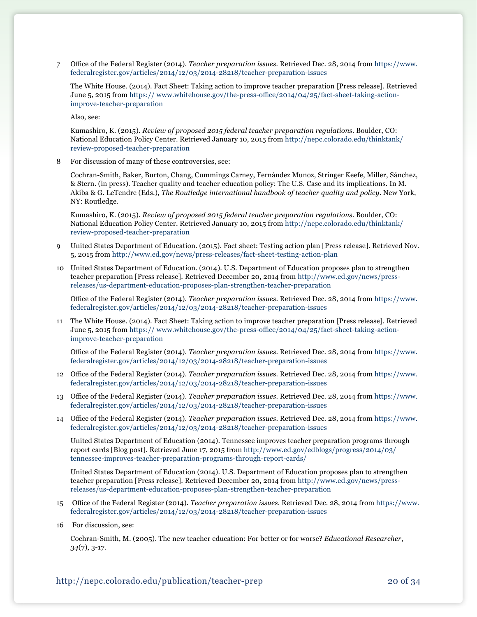7 Office of the Federal Register (2014). *Teacher preparation issues.* Retrieved Dec. 28, 2014 from [https://www.](https://www.federalregister.gov/articles/2014/12/03/2014-28218/teacher-preparation-issues) [federalregister.gov/articles/2014/12/03/2014-28218/teacher-preparation-issues](https://www.federalregister.gov/articles/2014/12/03/2014-28218/teacher-preparation-issues)

The White House. (2014). Fact Sheet: Taking action to improve teacher preparation [Press release]. Retrieved June 5, 2015 from https:// [www.whitehouse.gov/the-press-office/2014/04/25/fact-sheet-taking-action](https://www.whitehouse.gov/the-press-office/2014/04/25/fact-sheet-taking-action-improve-teacher-preparation)[improve-teacher-preparation](https://www.whitehouse.gov/the-press-office/2014/04/25/fact-sheet-taking-action-improve-teacher-preparation)

Also, see:

Kumashiro, K. (2015). *Review of proposed 2015 federal teacher preparation regulations.* Boulder, CO: National Education Policy Center. Retrieved January 10, 2015 from [http://nepc.colorado.edu/thinktank/](http://http//nepc.colorado.edu/thinktank/review-proposed-teacher-preparation) [review-proposed-teacher-preparation](http://http//nepc.colorado.edu/thinktank/review-proposed-teacher-preparation)

8 For discussion of many of these controversies, see:

Cochran-Smith, Baker, Burton, Chang, Cummings Carney, Fernández Munoz, Stringer Keefe, Miller, Sánchez, & Stern. (in press). Teacher quality and teacher education policy: The U.S. Case and its implications. In M. Akiba & G. LeTendre (Eds.), *The Routledge international handbook of teacher quality and policy.* New York, NY: Routledge.

Kumashiro, K. (2015). *Review of proposed 2015 federal teacher preparation regulations.* Boulder, CO: National Education Policy Center. Retrieved January 10, 2015 from [http://nepc.colorado.edu/thinktank/](http://http//nepc.colorado.edu/thinktank/review-proposed-teacher-preparation) [review-proposed-teacher-preparation](http://http//nepc.colorado.edu/thinktank/review-proposed-teacher-preparation)

- 9 United States Department of Education. (2015). Fact sheet: Testing action plan [Press release]. Retrieved Nov. 5, 2015 from <http://www.ed.gov/news/press-releases/fact-sheet-testing-action-plan>
- 10 United States Department of Education. (2014). U.S. Department of Education proposes plan to strengthen teacher preparation [Press release]. Retrieved December 20, 2014 from [http://www.ed.gov/news/press](http://www.ed.gov/news/press-releases/us-department-education-proposes-plan-strengthen-teacher-preparation)[releases/us-department-education-proposes-plan-strengthen-teacher-preparation](http://www.ed.gov/news/press-releases/us-department-education-proposes-plan-strengthen-teacher-preparation)

 Office of the Federal Register (2014). *Teacher preparation issues*. Retrieved Dec. 28, 2014 from [https://www.](https://www.federalregister.gov/articles/2014/12/03/2014-28218/teacher-preparation-issues) [federalregister.gov/articles/2014/12/03/2014-28218/teacher-preparation-issues](https://www.federalregister.gov/articles/2014/12/03/2014-28218/teacher-preparation-issues)

11 The White House. (2014). Fact Sheet: Taking action to improve teacher preparation [Press release]. Retrieved June 5, 2015 from https:// [www.whitehouse.gov/the-press-office/2014/04/25/fact-sheet-taking-action](https://www.whitehouse.gov/the-press-office/2014/04/25/fact-sheet-taking-action-improve-teacher-preparation)[improve-teacher-preparation](https://www.whitehouse.gov/the-press-office/2014/04/25/fact-sheet-taking-action-improve-teacher-preparation)

 Office of the Federal Register (2014). *Teacher preparation issues*. Retrieved Dec. 28, 2014 from [https://www.](https://www.federalregister.gov/articles/2014/12/03/2014-28218/teacher-preparation-issues) [federalregister.gov/articles/2014/12/03/2014-28218/teacher-preparation-issues](https://www.federalregister.gov/articles/2014/12/03/2014-28218/teacher-preparation-issues)

- 12 Office of the Federal Register (2014). *Teacher preparation issue*s. Retrieved Dec. 28, 2014 from [https://www.](https://www.federalregister.gov/articles/2014/12/03/2014-28218/teacher-preparation-issues) [federalregister.gov/articles/2014/12/03/2014-28218/teacher-preparation-issues](https://www.federalregister.gov/articles/2014/12/03/2014-28218/teacher-preparation-issues)
- 13 Office of the Federal Register (2014). *Teacher preparation issues*. Retrieved Dec. 28, 2014 from [https://www.](https://www.federalregister.gov/articles/2014/12/03/2014-28218/teacher-preparation-issues) [federalregister.gov/articles/2014/12/03/2014-28218/teacher-preparation-issues](https://www.federalregister.gov/articles/2014/12/03/2014-28218/teacher-preparation-issues)
- 14 Office of the Federal Register (2014). *Teacher preparation issues*. Retrieved Dec. 28, 2014 from [https://www.](https://www.federalregister.gov/articles/2014/12/03/2014-28218/teacher-preparation-issues) [federalregister.gov/articles/2014/12/03/2014-28218/teacher-preparation-issues](https://www.federalregister.gov/articles/2014/12/03/2014-28218/teacher-preparation-issues)

United States Department of Education (2014). Tennessee improves teacher preparation programs through report cards [Blog post]. Retrieved June 17, 2015 from [http://www.ed.gov/edblogs/progress/2014/03/](http://www.ed.gov/edblogs/progress/2014/03/tennessee-improves-teacher-preparation-programs-through-report-cards/) [tennessee-improves-teacher-preparation-programs-through-report-cards/](http://www.ed.gov/edblogs/progress/2014/03/tennessee-improves-teacher-preparation-programs-through-report-cards/)

United States Department of Education (2014). U.S. Department of Education proposes plan to strengthen teacher preparation [Press release]. Retrieved December 20, 2014 from [http://www.ed.gov/news/press](http://www.ed.gov/news/press-releases/us-department-education-proposes-plan-strengthen-teacher-preparation)[releases/us-department-education-proposes-plan-strengthen-teacher-preparation](http://www.ed.gov/news/press-releases/us-department-education-proposes-plan-strengthen-teacher-preparation)

- 15 Office of the Federal Register (2014). *Teacher preparation issues*. Retrieved Dec. 28, 2014 from [https://www.](https://www.federalregister.gov/articles/2014/12/03/2014-28218/teacher-preparation-issues) [federalregister.gov/articles/2014/12/03/2014-28218/teacher-preparation-issues](https://www.federalregister.gov/articles/2014/12/03/2014-28218/teacher-preparation-issues)
- 16 For discussion, see:

Cochran-Smith, M. (2005). The new teacher education: For better or for worse? *Educational Researcher*, *34*(7), 3-17.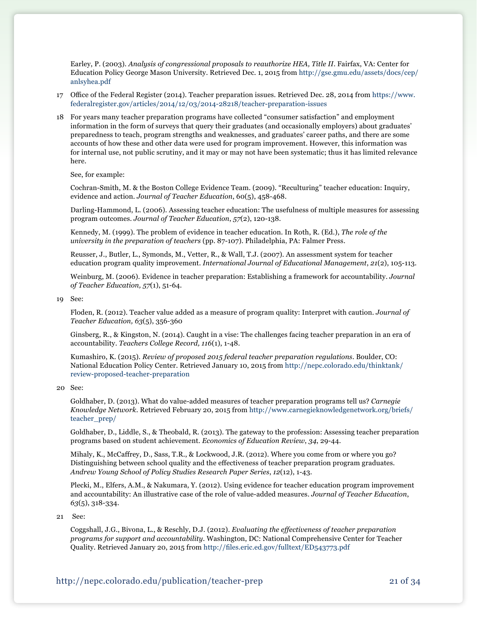Earley, P. (2003). *Analysis of congressional proposals to reauthorize HEA, Title II*. Fairfax, VA: Center for Education Policy George Mason University. Retrieved Dec. 1, 2015 from [http://gse.gmu.edu/assets/docs/cep/](http://gse.gmu.edu/assets/docs/cep/anlsyhea.pdf) [anlsyhea.pdf](http://gse.gmu.edu/assets/docs/cep/anlsyhea.pdf)

- 17 Office of the Federal Register (2014). Teacher preparation issues. Retrieved Dec. 28, 2014 from [https://www.](https://www.federalregister.gov/articles/2014/12/03/2014-28218/teacher-preparation-issues) [federalregister.gov/articles/2014/12/03/2014-28218/teacher-preparation-issues](https://www.federalregister.gov/articles/2014/12/03/2014-28218/teacher-preparation-issues)
- 18 For years many teacher preparation programs have collected "consumer satisfaction" and employment information in the form of surveys that query their graduates (and occasionally employers) about graduates' preparedness to teach, program strengths and weaknesses, and graduates' career paths, and there are some accounts of how these and other data were used for program improvement. However, this information was for internal use, not public scrutiny, and it may or may not have been systematic; thus it has limited relevance here.

See, for example:

Cochran-Smith, M. & the Boston College Evidence Team. (2009). "Reculturing" teacher education: Inquiry, evidence and action*. Journal of Teacher Education*, 60(5), 458-468.

Darling-Hammond, L. (2006). Assessing teacher education: The usefulness of multiple measures for assessing program outcomes. *Journal of Teacher Education*, *57*(2), 120-138.

Kennedy, M. (1999). The problem of evidence in teacher education. In Roth, R. (Ed.), *The role of the university in the preparation of teachers* (pp. 87-107). Philadelphia, PA: Falmer Press.

Reusser, J., Butler, L., Symonds, M., Vetter, R., & Wall, T.J. (2007). An assessment system for teacher education program quality improvement. *International Journal of Educational Management*, *21*(2), 105-113.

Weinburg, M. (2006). Evidence in teacher preparation: Establishing a framework for accountability. *Journal of Teacher Education, 57*(1), 51-64.

19 See:

Floden, R. (2012). Teacher value added as a measure of program quality: Interpret with caution. *Journal of Teacher Education, 63*(5), 356-360

Ginsberg, R., & Kingston, N. (2014). Caught in a vise: The challenges facing teacher preparation in an era of accountability. *Teachers College Record, 116*(1), 1-48.

Kumashiro, K. (2015). *Review of proposed 2015 federal teacher preparation regulations.* Boulder, CO: National Education Policy Center. Retrieved January 10, 2015 from [http://nepc.colorado.edu/thinktank/](http://http//nepc.colorado.edu/thinktank/review-proposed-teacher-preparation) [review-proposed-teacher-preparation](http://http//nepc.colorado.edu/thinktank/review-proposed-teacher-preparation)

#### 20 See:

Goldhaber, D. (2013). What do value-added measures of teacher preparation programs tell us? *Carnegie Knowledge Network*. Retrieved February 20, 2015 from http://www.carnegieknowledgenetwork.org/briefs/ teacher\_prep/

Goldhaber, D., Liddle, S., & Theobald, R. (2013). The gateway to the profession: Assessing teacher preparation programs based on student achievement. *Economics of Education Review*, *34*, 29-44.

 Mihaly, K., McCaffrey, D., Sass, T.R., & Lockwood, J.R. (2012). Where you come from or where you go? Distinguishing between school quality and the effectiveness of teacher preparation program graduates*. Andrew Young School of Policy Studies Research Paper Series*, *12*(12), 1-43.

Plecki, M., Elfers, A.M., & Nakumara, Y. (2012). Using evidence for teacher education program improvement and accountability: An illustrative case of the role of value-added measures. *Journal of Teacher Education*, *63*(5), 318-334.

21 See:

Coggshall, J.G., Bivona, L., & Reschly, D.J. (2012). *Evaluating the effectiveness of teacher preparation programs for support and accountability.* Washington, DC: National Comprehensive Center for Teacher Quality. Retrieved January 20, 2015 from <http://files.eric.ed.gov/fulltext/ED543773.pdf>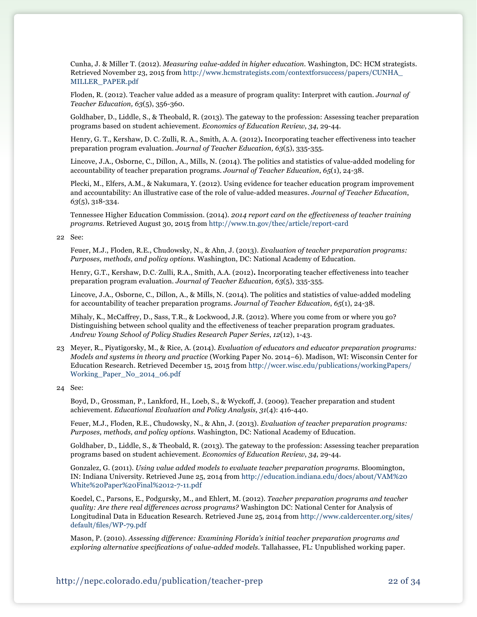Cunha, J. & Miller T. (2012). *Measuring value-added in higher education.* Washington, DC: HCM strategists. Retrieved November 23, 2015 from [http://www.hcmstrategists.com/contextforsuccess/papers/CUNHA\\_](http://www.hcmstrategists.com/contextforsuccess/papers/CUNHA_MILLER_PAPER.pdf) [MILLER\\_PAPER.pdf](http://www.hcmstrategists.com/contextforsuccess/papers/CUNHA_MILLER_PAPER.pdf)

Floden, R. (2012). Teacher value added as a measure of program quality: Interpret with caution. *Journal of Teacher Education, 63*(5), 356-360.

Goldhaber, D., Liddle, S., & Theobald, R. (2013). The gateway to the profession: Assessing teacher preparation programs based on student achievement. *Economics of Education Review*, *34*, 29-44.

Henry, G. T., Kershaw, D. C., Zulli, R. A., Smith, A. A. (2012)**.** Incorporating teacher effectiveness into teacher preparation program evaluation. *Journal of Teacher Education, 63*(5), 335-355.

Lincove, J.A., Osborne, C., Dillon, A., Mills, N. (2014). The politics and statistics of value-added modeling for accountability of teacher preparation programs. *Journal of Teacher Education*, *65*(1), 24-38.

Plecki, M., Elfers, A.M., & Nakumara, Y. (2012). Using evidence for teacher education program improvement and accountability: An illustrative case of the role of value-added measures. *Journal of Teacher Education*, *63*(5), 318-334.

Tennessee Higher Education Commission. (2014). *2014 report card on the effectiveness of teacher training programs*. Retrieved August 30, 2015 from<http://www.tn.gov/thec/article/report-card>

22 See:

Feuer, M.J., Floden, R.E., Chudowsky, N., & Ahn, J. (2013). *Evaluation of teacher preparation programs: Purposes, methods, and policy options.* Washington, DC: National Academy of Education.

Henry, G.T., Kershaw, D.C., Zulli, R.A., Smith, A.A. (2012)**.** Incorporating teacher effectiveness into teacher preparation program evaluation. *Journal of Teacher Education, 63*(5), 335-355.

Lincove, J.A., Osborne, C., Dillon, A., & Mills, N. (2014). The politics and statistics of value-added modeling for accountability of teacher preparation programs. *Journal of Teacher Education*, *65*(1), 24-38.

 Mihaly, K., McCaffrey, D., Sass, T.R., & Lockwood, J.R. (2012). Where you come from or where you go? Distinguishing between school quality and the effectiveness of teacher preparation program graduates*. Andrew Young School of Policy Studies Research Paper Series*, *12*(12), 1-43.

23 Meyer, R., Piyatigorsky, M., & Rice, A. (2014). *Evaluation of educators and educator preparation programs: Models and systems in theory and practice* (Working Paper No. 2014–6). Madison, WI: Wisconsin Center for Education Research. Retrieved December 15, 2015 from [http://wcer.wisc.edu/publications/workingPapers/](http://wcer.wisc.edu/publications/workingPapers/Working_Paper_No_2014_06.pdf) [Working\\_Paper\\_No\\_2014\\_06.pdf](http://wcer.wisc.edu/publications/workingPapers/Working_Paper_No_2014_06.pdf)

24 See:

 Boyd, D., Grossman, P., Lankford, H., Loeb, S., & Wyckoff, J. (2009). Teacher preparation and student achievement*. Educational Evaluation and Policy Analysis, 31*(4): 416-440.

Feuer, M.J., Floden, R.E., Chudowsky, N., & Ahn, J. (2013). *Evaluation of teacher preparation programs: Purposes, methods, and policy options.* Washington, DC: National Academy of Education.

Goldhaber, D., Liddle, S., & Theobald, R. (2013). The gateway to the profession: Assessing teacher preparation programs based on student achievement. *Economics of Education Review*, *34*, 29-44.

Gonzalez, G. (2011). *Using value added models to evaluate teacher preparation programs.* Bloomington, IN: Indiana University. Retrieved June 25, 2014 from [http://education.indiana.edu/docs/about/VAM%20](http://education.indiana.edu/docs/about/VAM%20White%20Paper%20Final%2012-7-11.pdf) [White%20Paper%20Final%2012-7-11.pdf](http://education.indiana.edu/docs/about/VAM%20White%20Paper%20Final%2012-7-11.pdf)

Koedel, C., Parsons, E., Podgursky, M., and Ehlert, M. (2012). *Teacher preparation programs and teacher quality: Are there real differences across programs?* Washington DC: National Center for Analysis of Longitudinal Data in Education Research. Retrieved June 25, 2014 from [http://www.caldercenter.org/sites/](http://www.caldercenter.org/sites/default/files/WP-79.pdf) [default/files/WP-79.pdf](http://www.caldercenter.org/sites/default/files/WP-79.pdf)

Mason, P. (2010). *Assessing difference: Examining Florida's initial teacher preparation programs and exploring alternative specifications of value-added models*. Tallahassee, FL: Unpublished working paper.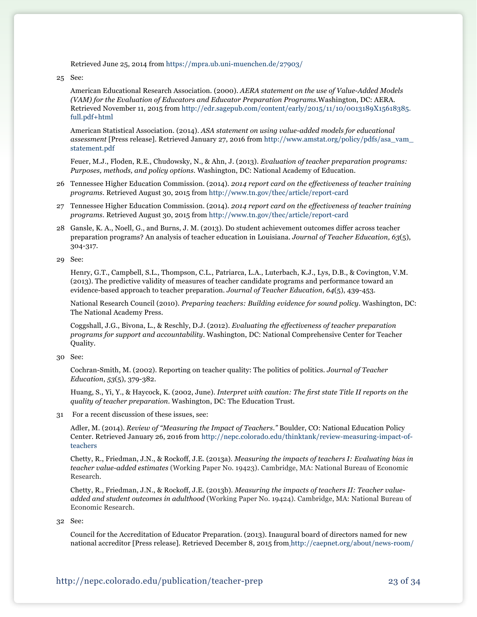Retrieved June 25, 2014 from<https://mpra.ub.uni-muenchen.de/27903/>

25 See:

American Educational Research Association. (2000). *AERA statement on the use of Value-Added Models (VAM) for the Evaluation of Educators and Educator Preparation Programs.*Washington, DC: AERA. Retrieved November 11, 2015 from [http://edr.sagepub.com/content/early/2015/11/10/0013189X15618385.](http://edr.sagepub.com/content/early/2015/11/10/0013189X15618385.full.pdf+html) [full.pdf+html](http://edr.sagepub.com/content/early/2015/11/10/0013189X15618385.full.pdf+html)

American Statistical Association. (2014). *ASA statement on using value-added models for educational assessment* [Press release]. Retrieved January 27, 2016 from [http://www.amstat.org/policy/pdfs/asa\\_vam\\_](http://www.amstat.org/policy/pdfs/asa_vam_statement.pdf) [statement.pdf](http://www.amstat.org/policy/pdfs/asa_vam_statement.pdf)

Feuer, M.J., Floden, R.E., Chudowsky, N., & Ahn, J. (2013). *Evaluation of teacher preparation programs: Purposes, methods, and policy options.* Washington, DC: National Academy of Education.

- 26 Tennessee Higher Education Commission. (2014). *2014 report card on the effectiveness of teacher training programs*. Retrieved August 30, 2015 from<http://www.tn.gov/thec/article/report-card>
- 27 Tennessee Higher Education Commission. (2014). *2014 report card on the effectiveness of teacher training programs*. Retrieved August 30, 2015 from<http://www.tn.gov/thec/article/report-card>
- 28 Gansle, K. A., Noell, G., and Burns, J. M. (2013). Do student achievement outcomes differ across teacher preparation programs? An analysis of teacher education in Louisiana. *Journal of Teacher Education, 63*(5), 304-317.

29 See:

Henry, G.T., Campbell, S.L., Thompson, C.L., Patriarca, L.A., Luterbach, K.J., Lys, D.B., & Covington, V.M. (2013). The predictive validity of measures of teacher candidate programs and performance toward an evidence-based approach to teacher preparation. *Journal of Teacher Education*, *64*(5), 439-453.

National Research Council (2010). *Preparing teachers: Building evidence for sound policy.* Washington, DC: The National Academy Press.

Coggshall, J.G., Bivona, L., & Reschly, D.J. (2012). *Evaluating the effectiveness of teacher preparation programs for support and accountability*. Washington, DC: National Comprehensive Center for Teacher Quality.

Cochran-Smith, M. (2002). Reporting on teacher quality: The politics of politics. *Journal of Teacher Education*, *53*(5), 379-382.

Huang, S., Yi, Y., & Haycock, K. (2002, June). *Interpret with caution: The first state Title II reports on the quality of teacher preparation*. Washington, DC: The Education Trust.

31 For a recent discussion of these issues, see:

Adler, M. (2014). *Review of "Measuring the Impact of Teachers."* Boulder, CO: National Education Policy Center. Retrieved January 26, 2016 from [http://nepc.colorado.edu/thinktank/review-measuring-impact-of](http://nepc.colorado.edu/thinktank/review-measuring-impact-of-teachers)[teachers](http://nepc.colorado.edu/thinktank/review-measuring-impact-of-teachers)

 Chetty, R., Friedman, J.N., & Rockoff, J.E. (2013a). *Measuring the impacts of teachers I: Evaluating bias in teacher value-added estimates* (Working Paper No. 19423). Cambridge, MA: National Bureau of Economic Research.

 Chetty, R., Friedman, J.N., & Rockoff, J.E. (2013b). *Measuring the impacts of teachers II: Teacher valueadded and student outcomes in adulthood* (Working Paper No. 19424). Cambridge, MA: National Bureau of Economic Research.

32 See:

Council for the Accreditation of Educator Preparation. (2013). Inaugural board of directors named for new national accreditor [Press release]. Retrieved December 8, 2015 from [http://caepnet.org/about/news-room/](http://caepnet.org/about/news-room/statements-press-releases/inaugural-board-of-directors)

<sup>30</sup> See: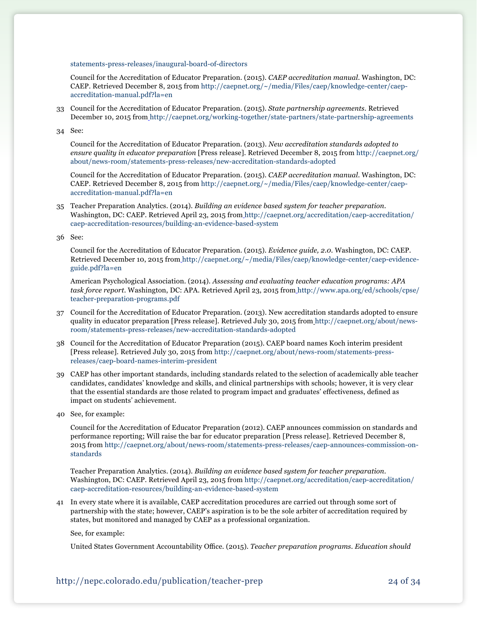[statements-press-releases/inaugural-board-of-directors](http://caepnet.org/about/news-room/statements-press-releases/inaugural-board-of-directors) 

Council for the Accreditation of Educator Preparation. (2015). *CAEP accreditation manual*. Washington, DC: CAEP. Retrieved December 8, 2015 from [http://caepnet.org/~/media/Files/caep/knowledge-center/caep](http://caepnet.org/~/media/Files/caep/knowledge-center/caep-accreditation-manual.pdf?la=en)[accreditation-manual.pdf?la=en](http://caepnet.org/~/media/Files/caep/knowledge-center/caep-accreditation-manual.pdf?la=en)

33 Council for the Accreditation of Educator Preparation. (2015). *State partnership agreements*. Retrieved December 10, 2015 from <http://caepnet.org/working-together/state-partners/state-partnership-agreements>

34 See:

Council for the Accreditation of Educator Preparation. (2013). *New accreditation standards adopted to ensure quality in educator preparation* [Press release]. Retrieved December 8, 2015 from [http://caepnet.org/](http://caepnet.org/about/news-room/statements-press-releases/new-accreditation-standards-adopted) [about/news-room/statements-press-releases/new-accreditation-standards-adopted](http://caepnet.org/about/news-room/statements-press-releases/new-accreditation-standards-adopted)

Council for the Accreditation of Educator Preparation. (2015). *CAEP accreditation manual*. Washington, DC: CAEP. Retrieved December 8, 2015 from [http://caepnet.org/~/media/Files/caep/knowledge-center/caep](http://caepnet.org/~/media/Files/caep/knowledge-center/caep-accreditation-manual.pdf?la=en)[accreditation-manual.pdf?la=en](http://caepnet.org/~/media/Files/caep/knowledge-center/caep-accreditation-manual.pdf?la=en)

35 Teacher Preparation Analytics. (2014). *Building an evidence based system for teacher preparation*. Washington, DC: CAEP. Retrieved April 23, 2015 from [http://caepnet.org/accreditation/caep-accreditation/](http://caepnet.org/accreditation/caep-accreditation/caep-accreditation-resources/building-an-evidence-based-system) [caep-accreditation-resources/building-an-evidence-based-system](http://caepnet.org/accreditation/caep-accreditation/caep-accreditation-resources/building-an-evidence-based-system) 

36 See:

Council for the Accreditation of Educator Preparation. (2015). *Evidence guide, 2.0*. Washington, DC: CAEP. Retrieved December 10, 2015 from [http://caepnet.org/~/media/Files/caep/knowledge-center/caep-evidence](http://caepnet.org/~/media/Files/caep/knowledge-center/caep-evidence-guide.pdf?la=en)[guide.pdf?la=en](http://caepnet.org/~/media/Files/caep/knowledge-center/caep-evidence-guide.pdf?la=en) 

American Psychological Association. (2014). *Assessing and evaluating teacher education programs: APA task force report*. Washington, DC: APA. Retrieved April 23, 2015 from [http://www.apa.org/ed/schools/cpse/](http://www.apa.org/ed/schools/cpse/teacher-preparation-programs.pdf) [teacher-preparation-programs.pdf](http://www.apa.org/ed/schools/cpse/teacher-preparation-programs.pdf)

- 37 Council for the Accreditation of Educator Preparation. (2013). New accreditation standards adopted to ensure quality in educator preparation [Press release]. Retrieved July 30, 2015 from http://caepnet.org/about/newsroom/statements-press-releases/new-accreditation-standards-adopted
- 38 Council for the Accreditation of Educator Preparation (2015). CAEP board names Koch interim president [Press release]. Retrieved July 30, 2015 from [http://caepnet.org/about/news-room/statements-press](http://caepnet.org/about/news-room/statements-press-releases/caep-board-names-interim-president)[releases/caep-board-names-interim-president](http://caepnet.org/about/news-room/statements-press-releases/caep-board-names-interim-president)
- 39 CAEP has other important standards, including standards related to the selection of academically able teacher candidates, candidates' knowledge and skills, and clinical partnerships with schools; however, it is very clear that the essential standards are those related to program impact and graduates' effectiveness, defined as impact on students' achievement.
- 40 See, for example:

Council for the Accreditation of Educator Preparation (2012). CAEP announces commission on standards and performance reporting; Will raise the bar for educator preparation [Press release]. Retrieved December 8, 2015 from http://caepnet.org/about/news-room/statements-press-releases/caep-announces-commission-onstandards

Teacher Preparation Analytics. (2014). *Building an evidence based system for teacher preparation*. Washington, DC: CAEP. Retrieved April 23, 2015 from http://caepnet.org/accreditation/caep-accreditation/ caep-accreditation-resources/building-an-evidence-based-system

41 In every state where it is available, CAEP accreditation procedures are carried out through some sort of partnership with the state; however, CAEP's aspiration is to be the sole arbiter of accreditation required by states, but monitored and managed by CAEP as a professional organization.

See, for example:

 United States Government Accountability Office. (2015). *Teacher preparation programs. Education should*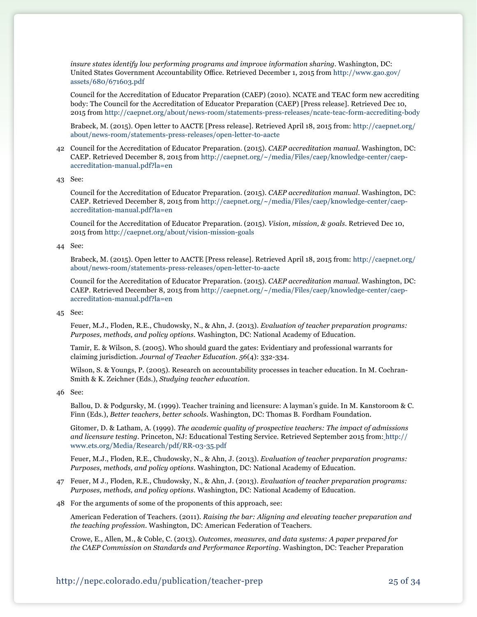*insure states identify low performing programs and improve information sharing.* Washington, DC: United States Government Accountability Office. Retrieved December 1, 2015 from [http://www.gao.gov/](http://www.gao.gov/assets/680/671603.pdf) [assets/680/671603.pdf](http://www.gao.gov/assets/680/671603.pdf)

Council for the Accreditation of Educator Preparation (CAEP) (2010). NCATE and TEAC form new accrediting body: The Council for the Accreditation of Educator Preparation (CAEP) [Press release]. Retrieved Dec 10, 2015 from<http://caepnet.org/about/news-room/statements-press-releases/ncate-teac-form-accrediting-body>

Brabeck, M. (2015). Open letter to AACTE [Press release]. Retrieved April 18, 2015 from: http://caepnet.org/ about/news-room/statements-press-releases/open-letter-to-aacte

- 42 Council for the Accreditation of Educator Preparation. (2015). *CAEP accreditation manual*. Washington, DC: CAEP. Retrieved December 8, 2015 from [http://caepnet.org/~/media/Files/caep/knowledge-center/caep](http://caepnet.org/~/media/Files/caep/knowledge-center/caep-accreditation-manual.pdf?la=en)[accreditation-manual.pdf?la=en](http://caepnet.org/~/media/Files/caep/knowledge-center/caep-accreditation-manual.pdf?la=en)
- 43 See:

Council for the Accreditation of Educator Preparation. (2015). *CAEP accreditation manual*. Washington, DC: CAEP. Retrieved December 8, 2015 from [http://caepnet.org/~/media/Files/caep/knowledge-center/caep](http://caepnet.org/~/media/Files/caep/knowledge-center/caep-accreditation-manual.pdf?la=en)[accreditation-manual.pdf?la=en](http://caepnet.org/~/media/Files/caep/knowledge-center/caep-accreditation-manual.pdf?la=en)

Council for the Accreditation of Educator Preparation. (2015). *Vision, mission, & goals*. Retrieved Dec 10, 2015 from<http://caepnet.org/about/vision-mission-goals>

44 See:

Brabeck, M. (2015). Open letter to AACTE [Press release]. Retrieved April 18, 2015 from: http://caepnet.org/ about/news-room/statements-press-releases/open-letter-to-aacte

Council for the Accreditation of Educator Preparation. (2015). *CAEP accreditation manual*. Washington, DC: CAEP. Retrieved December 8, 2015 from [http://caepnet.org/~/media/Files/caep/knowledge-center/caep](http://caepnet.org/~/media/Files/caep/knowledge-center/caep-accreditation-manual.pdf?la=en)[accreditation-manual.pdf?la=en](http://caepnet.org/~/media/Files/caep/knowledge-center/caep-accreditation-manual.pdf?la=en)

#### 45 See:

Feuer, M.J., Floden, R.E., Chudowsky, N., & Ahn, J. (2013). *Evaluation of teacher preparation programs: Purposes, methods, and policy options*. Washington, DC: National Academy of Education.

Tamir, E. & Wilson, S. (2005). Who should guard the gates: Evidentiary and professional warrants for claiming jurisdiction. *Journal of Teacher Education. 56*(4): 332-334.

Wilson, S. & Youngs, P. (2005). Research on accountability processes in teacher education. In M. Cochran-Smith & K. Zeichner (Eds.), *Studying teacher education.*

46 See:

Ballou, D. & Podgursky, M. (1999). Teacher training and licensure: A layman's guide. In M. Kanstoroom & C. Finn (Eds.), *Better teachers, better schools.* Washington, DC: Thomas B. Fordham Foundation.

Gitomer, D. & Latham, A. (1999). *The academic quality of prospective teachers: The impact of admissions and licensure testing.* Princeton, NJ: Educational Testing Service. Retrieved September 2015 from: [http://](http://www.ets.org/Media/Research/pdf/RR-03-35.pdf) [www.ets.org/Media/Research/pdf/RR-03-35.pdf](http://www.ets.org/Media/Research/pdf/RR-03-35.pdf)

Feuer, M.J., Floden, R.E., Chudowsky, N., & Ahn, J. (2013). *Evaluation of teacher preparation programs: Purposes, methods, and policy options*. Washington, DC: National Academy of Education.

- 47 Feuer, M J., Floden, R.E., Chudowsky, N., & Ahn, J. (2013). *Evaluation of teacher preparation programs: Purposes, methods, and policy options*. Washington, DC: National Academy of Education.
- 48 For the arguments of some of the proponents of this approach, see:

American Federation of Teachers. (2011). *Raising the bar: Aligning and elevating teacher preparation and the teaching profession*. Washington, DC: American Federation of Teachers.

Crowe, E., Allen, M., & Coble, C. (2013). *Outcomes, measures, and data systems: A paper prepared for the CAEP Commission on Standards and Performance Reporting*. Washington, DC: Teacher Preparation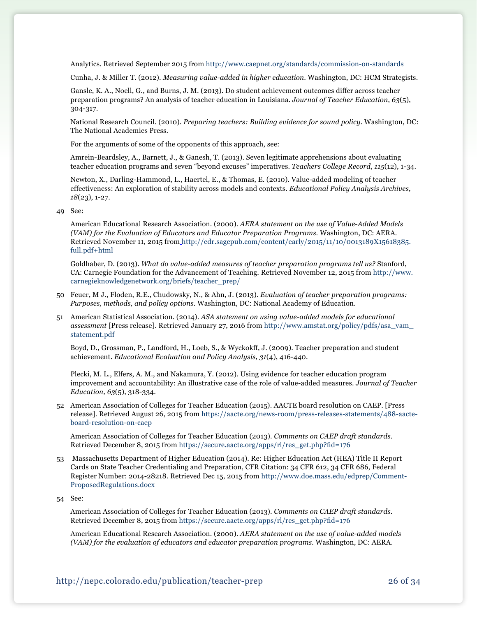Analytics. Retrieved September 2015 from<http://www.caepnet.org/standards/commission-on-standards>

Cunha, J. & Miller T. (2012). *Measuring value-added in higher education*. Washington, DC: HCM Strategists.

 Gansle, K. A., Noell, G., and Burns, J. M. (2013). Do student achievement outcomes differ across teacher preparation programs? An analysis of teacher education in Louisiana. *Journal of Teacher Education*, *63*(5), 304-317.

National Research Council. (2010). *Preparing teachers: Building evidence for sound policy.* Washington, DC: The National Academies Press.

For the arguments of some of the opponents of this approach, see:

Amrein-Beardsley, A., Barnett, J., & Ganesh, T. (2013). Seven legitimate apprehensions about evaluating teacher education programs and seven "beyond excuses" imperatives. *Teachers College Record*, *115*(12), 1-34.

Newton, X., Darling-Hammond, L., Haertel, E., & Thomas, E. (2010). Value-added modeling of teacher effectiveness: An exploration of stability across models and contexts. *Educational Policy Analysis Archives*, *18*(23), 1-27.

49 See:

American Educational Research Association. (2000). *AERA statement on the use of Value-Added Models (VAM) for the Evaluation of Educators and Educator Preparation Programs.* Washington, DC: AERA. Retrieved November 11, 2015 from [http://edr.sagepub.com/content/early/2015/11/10/0013189X15618385.](http://edr.sagepub.com/content/early/2015/11/10/0013189X15618385.full.pdf+html) [full.pdf+html](http://edr.sagepub.com/content/early/2015/11/10/0013189X15618385.full.pdf+html)

Goldhaber, D. (2013). *What do value-added measures of teacher preparation programs tell us?* Stanford, CA: Carnegie Foundation for the Advancement of Teaching. Retrieved November 12, 2015 from [http://www.](http://www.carnegieknowledgenetwork.org/briefs/teacher_prep/) [carnegieknowledgenetwork.org/briefs/teacher\\_prep/](http://www.carnegieknowledgenetwork.org/briefs/teacher_prep/)

- 50 Feuer, M J., Floden, R.E., Chudowsky, N., & Ahn, J. (2013). *Evaluation of teacher preparation programs: Purposes, methods, and policy options*. Washington, DC: National Academy of Education.
- 51 American Statistical Association. (2014). *ASA statement on using value-added models for educational assessment* [Press release]. Retrieved January 27, 2016 from [http://www.amstat.org/policy/pdfs/asa\\_vam\\_](http://www.amstat.org/policy/pdfs/asa_vam_statement.pdf) [statement.pdf](http://www.amstat.org/policy/pdfs/asa_vam_statement.pdf)

 Boyd, D., Grossman, P., Landford, H., Loeb, S., & Wyckokff, J. (2009). Teacher preparation and student achievement. *Educational Evaluation and Policy Analysis, 31*(4), 416-440.

Plecki, M. L., Elfers, A. M., and Nakamura, Y. (2012). Using evidence for teacher education program improvement and accountability: An illustrative case of the role of value-added measures. *Journal of Teacher Education, 63*(5), 318-334.

52 American Association of Colleges for Teacher Education (2015). AACTE board resolution on CAEP. [Press release]. Retrieved August 26, 2015 from [https://aacte.org/news-room/press-releases-statements/488-aacte](https://aacte.org/news-room/press-releases-statements/488-aacte-board-resolution-on-caep)[board-resolution-on-caep](https://aacte.org/news-room/press-releases-statements/488-aacte-board-resolution-on-caep)

American Association of Colleges for Teacher Education (2013). *Comments on CAEP draft standards.* Retrieved December 8, 2015 from [https://secure.aacte.org/apps/rl/res\\_get.php?fid=176](https://secure.aacte.org/apps/rl/res_get.php?fid=176)

53 Massachusetts Department of Higher Education (2014). Re: Higher Education Act (HEA) Title II Report Cards on State Teacher Credentialing and Preparation, CFR Citation: 34 CFR 612, 34 CFR 686, Federal Register Number: 2014-28218. Retrieved Dec 15, 2015 from http://www.doe.mass.edu/edprep/Comment-ProposedRegulations.docx

54 See:

American Association of Colleges for Teacher Education (2013). *Comments on CAEP draft standards.* Retrieved December 8, 2015 from [https://secure.aacte.org/apps/rl/res\\_get.php?fid=176](https://secure.aacte.org/apps/rl/res_get.php?fid=176)

American Educational Research Association. (2000). *AERA statement on the use of value-added models (VAM) for the evaluation of educators and educator preparation programs.* Washington, DC: AERA.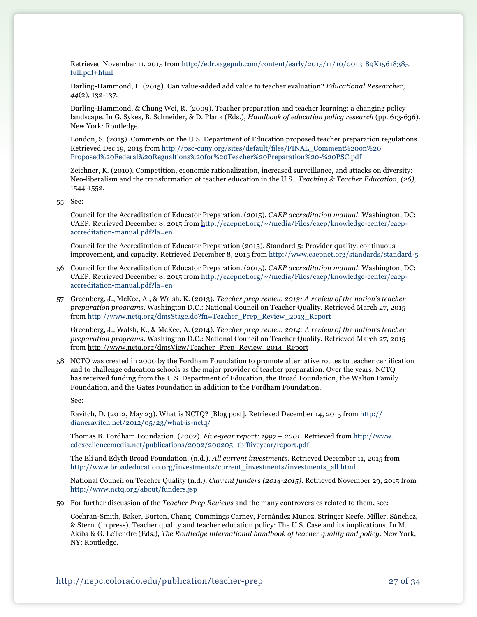Retrieved November 11, 2015 from [http://edr.sagepub.com/content/early/2015/11/10/0013189X15618385.](http://edr.sagepub.com/content/early/2015/11/10/0013189X15618385.full.pdf+html) [full.pdf+html](http://edr.sagepub.com/content/early/2015/11/10/0013189X15618385.full.pdf+html)

Darling-Hammond, L. (2015). Can value-added add value to teacher evaluation? *Educational Researcher, 44*(2), 132-137.

Darling-Hammond, & Chung Wei, R. (2009). Teacher preparation and teacher learning: a changing policy landscape. In G. Sykes, B. Schneider, & D. Plank (Eds.), *Handbook of education policy research* (pp. 613-636). New York: Routledge.

London, S. (2015). Comments on the U.S. Department of Education proposed teacher preparation regulations. Retrieved Dec 19, 2015 from [http://psc-cuny.org/sites/default/files/FINAL\\_Comment%20on%20](http://psc-cuny.org/sites/default/files/FINAL_Comment%20on%20Proposed%20Federal%20Regualtions%20for%20Teacher%20Preparation%20-%20PSC.pdf) [Proposed%20Federal%20Regualtions%20for%20Teacher%20Preparation%20-%20PSC.pdf](http://psc-cuny.org/sites/default/files/FINAL_Comment%20on%20Proposed%20Federal%20Regualtions%20for%20Teacher%20Preparation%20-%20PSC.pdf)

Zeichner, K. (2010). Competition, economic rationalization, increased surveillance, and attacks on diversity: Neo-liberalism and the transformation of teacher education in the U.S.. *Teaching & Teacher Education, (26),*  1544-1552.

55 See:

Council for the Accreditation of Educator Preparation. (2015). *CAEP accreditation manual*. Washington, DC: CAEP. Retrieved December 8, 2015 from [http://caepnet.org/~/media/Files/caep/knowledge-center/caep](http://caepnet.org/~/media/Files/caep/knowledge-center/caep-accreditation-manual.pdf?la=en)[accreditation-manual.pdf?la=en](http://caepnet.org/~/media/Files/caep/knowledge-center/caep-accreditation-manual.pdf?la=en)

Council for the Accreditation of Educator Preparation (2015). Standard 5: Provider quality, continuous improvement, and capacity. Retrieved December 8, 2015 from<http://www.caepnet.org/standards/standard-5>

- 56 Council for the Accreditation of Educator Preparation. (2015). *CAEP accreditation manual*. Washington, DC: CAEP. Retrieved December 8, 2015 from [http://caepnet.org/~/media/Files/caep/knowledge-center/caep](http://caepnet.org/~/media/Files/caep/knowledge-center/caep-accreditation-manual.pdf?la=en)[accreditation-manual.pdf?la=en](http://caepnet.org/~/media/Files/caep/knowledge-center/caep-accreditation-manual.pdf?la=en)
- 57 Greenberg, J., McKee, A., & Walsh, K. (2013). *Teacher prep review 2013: A review of the nation's teacher preparation programs*. Washington D.C.: National Council on Teacher Quality. Retrieved March 27, 2015 from [http://www.nctq.org/dmsStage.do?fn=Teacher\\_Prep\\_Review\\_2013\\_Report](http://www.nctq.org/dmsStage.do?fn=Teacher_Prep_Review_2013_Report)

Greenberg, J., Walsh, K., & McKee, A. (2014). *Teacher prep review 2014: A review of the nation's teacher preparation programs*. Washington D.C.: National Council on Teacher Quality. Retrieved March 27, 2015 from [http://www.nctq.org/dmsView/Teacher\\_Prep\\_Review\\_2014\\_Report](http://www.nctq.org/dmsView/Teacher_Prep_Review_2014_Report)

58 NCTQ was created in 2000 by the Fordham Foundation to promote alternative routes to teacher certification and to challenge education schools as the major provider of teacher preparation. Over the years, NCTQ has received funding from the U.S. Department of Education, the Broad Foundation, the Walton Family Foundation, and the Gates Foundation in addition to the Fordham Foundation.

See:

Ravitch, D. (2012, May 23). What is NCTQ? [Blog post]. Retrieved December 14, 2015 from http:// dianeravitch.net/2012/05/23/what-is-nctq/

Thomas B. Fordham Foundation. (2002). *Five-year report: 1997 – 2001.* Retrieved from [http://www.](http://www.edexcellencemedia.net/publications/2002/200205_tbfffiveyear/report.pdf) [edexcellencemedia.net/publications/2002/200205\\_tbfffiveyear/report.pdf](http://www.edexcellencemedia.net/publications/2002/200205_tbfffiveyear/report.pdf)

The Eli and Edyth Broad Foundation. (n.d.). *All current investments*. Retrieved December 11, 2015 from [http://www.broadeducation.org/investments/current\\_investments/investments\\_all.html](http://www.broadeducation.org/investments/current_investments/investments_all.html)

National Council on Teacher Quality (n.d.). *Current funders (2014-2015)*. Retrieved November 29, 2015 from <http://www.nctq.org/about/funders.jsp>

59 For further discussion of the *Teacher Prep Reviews* and the many controversies related to them, see:

Cochran-Smith, Baker, Burton, Chang, Cummings Carney, Fernández Munoz, Stringer Keefe, Miller, Sánchez, & Stern. (in press). Teacher quality and teacher education policy: The U.S. Case and its implications. In M. Akiba & G. LeTendre (Eds.), *The Routledge international handbook of teacher quality and policy.* New York, NY: Routledge.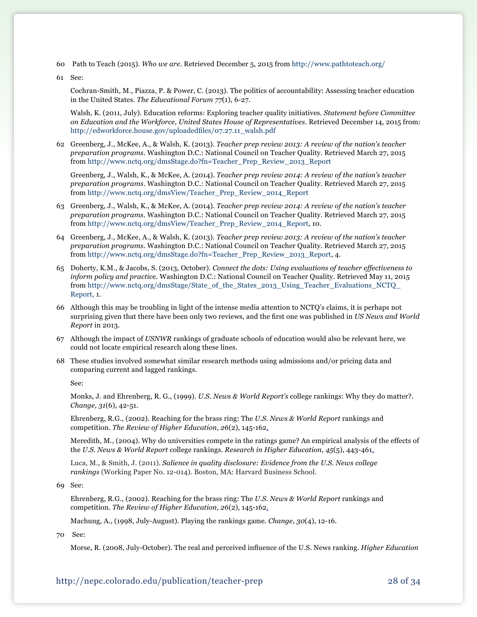- 60 Path to Teach (2015). *Who we are*. Retrieved December 5, 2015 from <http://www.pathtoteach.org/>
- 61 See:

Cochran-Smith, M., Piazza, P. & Power, C. (2013). The politics of accountability: Assessing teacher education in the United States. *The Educational Forum 77*(1), 6-27.

Walsh, K. (2011, July). Education reforms: Exploring teacher quality initiatives. *Statement before Committee on Education and the Workforce, United States House of Representatives*. Retrieved December 14, 2015 from: [http://edworkforce.house.gov/uploadedfiles/07.27.11\\_walsh.pdf](http://edworkforce.house.gov/uploadedfiles/07.27.11_walsh.pdf)

62 Greenberg, J., McKee, A., & Walsh, K. (2013). *Teacher prep review 2013: A review of the nation's teacher preparation programs*. Washington D.C.: National Council on Teacher Quality. Retrieved March 27, 2015 from [http://www.nctq.org/dmsStage.do?fn=Teacher\\_Prep\\_Review\\_2013\\_Report](http://www.nctq.org/dmsStage.do?fn=Teacher_Prep_Review_2013_Report)

Greenberg, J., Walsh, K., & McKee, A. (2014). *Teacher prep review 2014: A review of the nation's teacher preparation programs*. Washington D.C.: National Council on Teacher Quality. Retrieved March 27, 2015 from [http://www.nctq.org/dmsView/Teacher\\_Prep\\_Review\\_2014\\_Report](http://www.nctq.org/dmsView/Teacher_Prep_Review_2014_Report)

- 63 Greenberg, J., Walsh, K., & McKee, A. (2014). *Teacher prep review 2014: A review of the nation's teacher preparation programs*. Washington D.C.: National Council on Teacher Quality. Retrieved March 27, 2015 from [http://www.nctq.org/dmsView/Teacher\\_Prep\\_Review\\_2014\\_Report](http://www.nctq.org/dmsView/Teacher_Prep_Review_2014_Report), 10.
- 64 Greenberg, J., McKee, A., & Walsh, K. (2013). *Teacher prep review 2013: A review of the nation's teacher preparation programs*. Washington D.C.: National Council on Teacher Quality. Retrieved March 27, 2015 from [http://www.nctq.org/dmsStage.do?fn=Teacher\\_Prep\\_Review\\_2013\\_Report](http://www.nctq.org/dmsStage.do?fn=Teacher_Prep_Review_2013_Report), 4.
- 65 Doherty, K.M., & Jacobs, S. (2013, October). *Connect the dots: Using evaluations of teacher effectiveness to inform policy and practic*e. Washington D.C.: National Council on Teacher Quality. Retrieved May 11, 2015 fro[m http://www.nctq.org/dmsStage/State\\_of\\_the\\_States\\_2013\\_Using\\_Teacher\\_Evaluations\\_NCTQ\\_](http://www.nctq.org/dmsStage/State_of_the_States_2013_Using_Teacher_Evaluations_NCTQ_Report) [Report,](http://www.nctq.org/dmsStage/State_of_the_States_2013_Using_Teacher_Evaluations_NCTQ_Report) 1.
- 66 Although this may be troubling in light of the intense media attention to NCTQ's claims, it is perhaps not surprising given that there have been only two reviews, and the first one was published in *US News and World Report* in 2013.
- 67 Although the impact of *USNWR* rankings of graduate schools of education would also be relevant here, we could not locate empirical research along these lines.
- 68 These studies involved somewhat similar research methods using admissions and/or pricing data and comparing current and lagged rankings.

See:

Monks, J. and Ehrenberg, R. G., (1999). *U.S. News & World Report's* college rankings: Why they do matter?. *Change, 31*(6), 42-51.

Ehrenberg, R.G., (2002). Reaching for the brass ring: The *U.S. News & World Report* rankings and competition. *The Review of Higher Education*, *26*(2), 145-162.

 Meredith, M., (2004). Why do universities compete in the ratings game? An empirical analysis of the effects of the *U.S. News & World Report* college rankings. *Research in Higher Education*, *45*(5), 443-461.

Luca, M., & Smith, J. (2011). *Salience in quality disclosure: Evidence from the U.S. News college rankings* (Working Paper No. 12-014). Boston, MA: Harvard Business School.

69 See:

Ehrenberg, R.G., (2002). Reaching for the brass ring: The *U.S. News & World Report* rankings and competition. *The Review of Higher Education*, *26*(2), 145-162.

Machung, A., (1998, July-August). Playing the rankings game. *Change*, *30*(4), 12-16.

70 See:

 Morse, R. (2008, July-October). The real and perceived influence of the U.S. News ranking. *Higher Education*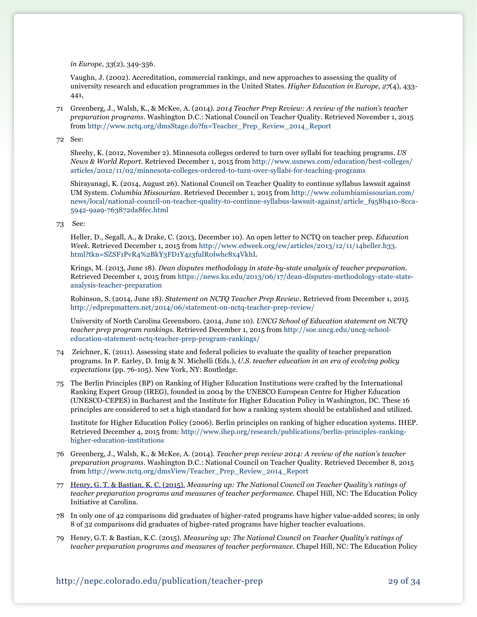*in Europe, 33*(2), 349-356.

Vaughn, J. (2002). Accreditation, commercial rankings, and new approaches to assessing the quality of university research and education programmes in the United States. *Higher Education in Europe, 27*(4), 433- 441.

71 Greenberg, J., Walsh, K., & McKee, A. (2014). *2014 Teacher Prep Review: A review of the nation's teacher preparation programs*. Washington D.C.: National Council on Teacher Quality. Retrieved November 1, 2015 from [http://www.nctq.org/dmsStage.do?fn=Teacher\\_Prep\\_Review\\_2014\\_Report](http://www.nctq.org/dmsStage.do?fn=Teacher_Prep_Review_2014_Report)

72 See:

Sheehy, K. (2012, November 2). Minnesota colleges ordered to turn over syllabi for teaching programs. *US News & World Report*. Retrieved December 1, 2015 from [http://www.usnews.com/education/best-colleges/](http://www.usnews.com/education/best-colleges/articles/2012/11/02/minnesota-colleges-ordered-to-turn-over-syllabi-for-teaching-programs) [articles/2012/11/02/minnesota-colleges-ordered-to-turn-over-syllabi-for-teaching-programs](http://www.usnews.com/education/best-colleges/articles/2012/11/02/minnesota-colleges-ordered-to-turn-over-syllabi-for-teaching-programs)

Shirayanagi, K. (2014, August 26). National Council on Teacher Quality to continue syllabus lawsuit against UM System. *Columbia Missourian*. Retrieved December 1, 2015 from [http://www.columbiamissourian.com/](http://www.columbiamissourian.com/news/local/national-council-on-teacher-quality-to-continue-syllabus-lawsuit-against/article_f958b410-8cca-5942-9aa9-763872da8fec.html) [news/local/national-council-on-teacher-quality-to-continue-syllabus-lawsuit-against/article\\_f958b410-8cca-](http://www.columbiamissourian.com/news/local/national-council-on-teacher-quality-to-continue-syllabus-lawsuit-against/article_f958b410-8cca-5942-9aa9-763872da8fec.html)[5942-9aa9-763872da8fec.html](http://www.columbiamissourian.com/news/local/national-council-on-teacher-quality-to-continue-syllabus-lawsuit-against/article_f958b410-8cca-5942-9aa9-763872da8fec.html)

73 See:

Heller, D., Segall, A., & Drake, C. (2013, December 10). An open letter to NCTQ on teacher prep. *Education Week*. Retrieved December 1, 2015 from [http://www.edweek.org/ew/articles/2013/12/11/14heller.h33.](http://www.edweek.org/ew/articles/2013/12/11/14heller.h33.html?tkn=SZSF1PvR4%2BkY3FD1Y4z3fulR0lwhc8x4VkhL) [html?tkn=SZSF1PvR4%2BkY3FD1Y4z3fulR0lwhc8x4VkhL](http://www.edweek.org/ew/articles/2013/12/11/14heller.h33.html?tkn=SZSF1PvR4%2BkY3FD1Y4z3fulR0lwhc8x4VkhL)

Krings, M. (2013, June 18). *Dean disputes methodology in state-by-state analysis of teacher preparation*. Retrieved December 1, 2015 from [https://news.ku.edu/2013/06/17/dean-disputes-methodology-state-state](https://news.ku.edu/2013/06/17/dean-disputes-methodology-state-state-analysis-teacher-preparation)[analysis-teacher-preparation](https://news.ku.edu/2013/06/17/dean-disputes-methodology-state-state-analysis-teacher-preparation)

Robinson, S. (2014, June 18). *Statement on NCTQ Teacher Prep Review.* Retrieved from December 1, 2015 <http://edprepmatters.net/2014/06/statement-on-nctq-teacher-prep-review/>

University of North Carolina Greensboro. (2014, June 10). *UNCG School of Education statement on NCTQ teacher prep program ranking*s. Retrieved December 1, 2015 from [http://soe.uncg.edu/uncg-school](http://soe.uncg.edu/uncg-school-education-statement-nctq-teacher-prep-program-rankings/)[education-statement-nctq-teacher-prep-program-rankings/](http://soe.uncg.edu/uncg-school-education-statement-nctq-teacher-prep-program-rankings/)

- 74 Zeichner, K. (2011). Assessing state and federal policies to evaluate the quality of teacher preparation programs. In P. Earley, D. Imig & N. Michelli (Eds.), *U.S. teacher education in an era of evolving policy expectations* (pp. 76-105). New York, NY: Routledge.
- 75 The Berlin Principles (BP) on Ranking of Higher Education Institutions were crafted by the International Ranking Expert Group (IREG), founded in 2004 by the UNESCO European Centre for Higher Education (UNESCO-CEPES) in Bucharest and the Institute for Higher Education Policy in Washington, DC. These 16 principles are considered to set a high standard for how a ranking system should be established and utilized.

Institute for Higher Education Policy (2006). Berlin principles on ranking of higher education systems. IHEP. Retrieved December 4, 2015 from: [http://www.ihep.org/research/publications/berlin-principles-ranking](http://www.ihep.org/research/publications/berlin-principles-ranking-higher-education-institutions)[higher-education-institutions](http://www.ihep.org/research/publications/berlin-principles-ranking-higher-education-institutions) 

- 76 Greenberg, J., Walsh, K., & McKee, A. (2014). *Teacher prep review 2014: A review of the nation's teacher preparation programs*. Washington D.C.: National Council on Teacher Quality. Retrieved December 8, 2015 from [http://www.nctq.org/dmsView/Teacher\\_Prep\\_Review\\_2014\\_Report](http://www.nctq.org/dmsView/Teacher_Prep_Review_2014_Report)
- 77 [Henry, G. T. & Bastian, K. C. \(2015\).](https://drive.google.com/a/bc.edu/file/d/0B8Yt_GDeC_XWd3hpMU1BTjJLb2M/view) *Measuring up: The National Council on Teacher Quality's ratings of teacher preparation programs and measures of teacher performance*. Chapel Hill, NC: The Education Policy Initiative at Carolina.
- 78 In only one of 42 comparisons did graduates of higher-rated programs have higher value-added scores; in only 8 of 32 comparisons did graduates of higher-rated programs have higher teacher evaluations.
- 79 Henry, G.T. & Bastian, K.C. (2015). *Measuring up: The National Council on Teacher Quality's ratings of teacher preparation programs and measures of teacher performance*. Chapel Hill, NC: The Education Policy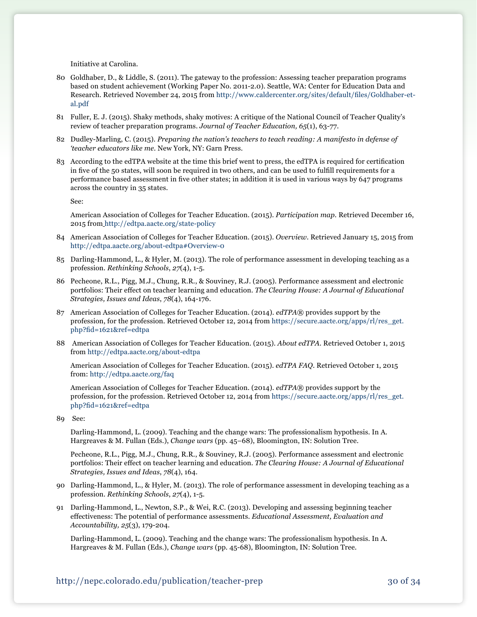Initiative at Carolina.

- 80 Goldhaber, D., & Liddle, S. (2011). The gateway to the profession: Assessing teacher preparation programs based on student achievement (Working Paper No. 2011-2.0). Seattle, WA: Center for Education Data and Research. Retrieved November 24, 2015 from [http://www.caldercenter.org/sites/default/files/Goldhaber-et](http://www.caldercenter.org/sites/default/files/Goldhaber-et-al.pdf)[al.pdf](http://www.caldercenter.org/sites/default/files/Goldhaber-et-al.pdf)
- 81 Fuller, E. J. (2015). Shaky methods, shaky motives: A critique of the National Council of Teacher Quality's review of teacher preparation programs. *Journal of Teacher Education, 65*(1), 63-77.
- 82 Dudley-Marling, C. (2015). *Preparing the nation's teachers to teach reading: A manifesto in defense of 'teacher educators like me.* New York, NY: Garn Press.
- 83 According to the edTPA website at the time this brief went to press, the edTPA is required for certification in five of the 50 states, will soon be required in two others, and can be used to fulfill requirements for a performance based assessment in five other states; in addition it is used in various ways by 647 programs across the country in 35 states.

See:

American Association of Colleges for Teacher Education. (2015). *Participation map.* Retrieved December 16, 2015 from <http://edtpa.aacte.org/state-policy>

- 84 American Association of Colleges for Teacher Education. (2015). *Overview*. Retrieved January 15, 2015 from http://edtpa.aacte.org/about-edtpa#Overview-0
- 85 Darling-Hammond, L., & Hyler, M. (2013). The role of performance assessment in developing teaching as a profession. *Rethinking Schools*, *27*(4), 1-5.
- 86 Pecheone, R.L., Pigg, M.J., Chung, R.R., & Souviney, R.J. (2005). Performance assessment and electronic portfolios: Their effect on teacher learning and education. *The Clearing House: A Journal of Educational Strategies, Issues and Ideas*, *78*(4), 164-176.
- 87 American Association of Colleges for Teacher Education. (2014). *edTPA*® provides support by the profession, for the profession. Retrieved October 12, 2014 from [https://secure.aacte.org/apps/rl/res\\_get.](https://secure.aacte.org/apps/rl/res_get.php?fid=1621&ref=edtpa) [php?fid=1621&ref=edtpa](https://secure.aacte.org/apps/rl/res_get.php?fid=1621&ref=edtpa)
- 88 American Association of Colleges for Teacher Education. (2015). *About edTPA*. Retrieved October 1, 2015 from <http://edtpa.aacte.org/about-edtpa>

American Association of Colleges for Teacher Education. (2015). *edTPA FAQ*. Retrieved October 1, 2015 from: <http://edtpa.aacte.org/faq>

American Association of Colleges for Teacher Education. (2014). *edTPA*® provides support by the profession, for the profession. Retrieved October 12, 2014 from [https://secure.aacte.org/apps/rl/res\\_get.](https://secure.aacte.org/apps/rl/res_get.php?fid=1621&ref=edtpa) [php?fid=1621&ref=edtpa](https://secure.aacte.org/apps/rl/res_get.php?fid=1621&ref=edtpa)

89 See:

Darling-Hammond, L. (2009). Teaching and the change wars: The professionalism hypothesis. In A. Hargreaves & M. Fullan (Eds.), *Change wars* (pp. 45–68), Bloomington, IN: Solution Tree.

Pecheone, R.L., Pigg, M.J., Chung, R.R., & Souviney, R.J. (2005). Performance assessment and electronic portfolios: Their effect on teacher learning and education. *The Clearing House: A Journal of Educational Strategies, Issues and Ideas*, *78*(4), 164.

- 90 Darling-Hammond, L., & Hyler, M. (2013). The role of performance assessment in developing teaching as a profession. *Rethinking Schools*, *27*(4), 1-5.
- 91 Darling-Hammond, L., Newton, S.P., & Wei, R.C. (2013). Developing and assessing beginning teacher effectiveness: The potential of performance assessments. *Educational Assessment, Evaluation and Accountability, 25*(3), 179-204.

Darling-Hammond, L. (2009). Teaching and the change wars: The professionalism hypothesis. In A. Hargreaves & M. Fullan (Eds.), *Change wars* (pp. 45-68), Bloomington, IN: Solution Tree.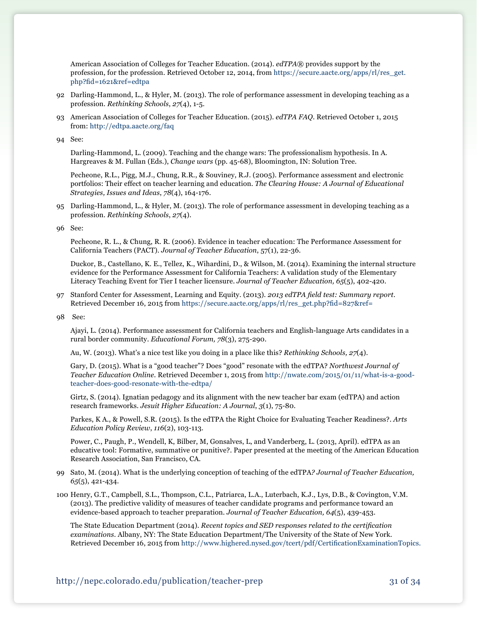American Association of Colleges for Teacher Education. (2014). *edTPA*® provides support by the profession, for the profession. Retrieved October 12, 2014, from [https://secure.aacte.org/apps/rl/res\\_get.](https://secure.aacte.org/apps/rl/res_get.php?fid=1621&ref=edtpa) [php?fid=1621&ref=edtpa](https://secure.aacte.org/apps/rl/res_get.php?fid=1621&ref=edtpa)

- 92 Darling-Hammond, L., & Hyler, M. (2013). The role of performance assessment in developing teaching as a profession. *Rethinking Schools*, *27*(4), 1-5.
- 93 American Association of Colleges for Teacher Education. (2015). *edTPA FAQ*. Retrieved October 1, 2015 from: <http://edtpa.aacte.org/faq>

94 See:

Darling-Hammond, L. (2009). Teaching and the change wars: The professionalism hypothesis. In A. Hargreaves & M. Fullan (Eds.), *Change wars* (pp. 45-68), Bloomington, IN: Solution Tree.

Pecheone, R.L., Pigg, M.J., Chung, R.R., & Souviney, R.J. (2005). Performance assessment and electronic portfolios: Their effect on teacher learning and education. *The Clearing House: A Journal of Educational Strategies, Issues and Ideas*, *78*(4), 164-176.

95 Darling-Hammond, L., & Hyler, M. (2013). The role of performance assessment in developing teaching as a profession. *Rethinking Schools*, *27*(4).

96 See:

Pecheone, R. L., & Chung, R. R. (2006). Evidence in teacher education: The Performance Assessment for California Teachers (PACT). *Journal of Teacher Education*, 57(1), 22-36.

Duckor, B., Castellano, K. E., Tellez, K., Wihardini, D., & Wilson, M. (2014). Examining the internal structure evidence for the Performance Assessment for California Teachers: A validation study of the Elementary Literacy Teaching Event for Tier I teacher licensure. *Journal of Teacher Education, 65*(5), 402-420.

97 Stanford Center for Assessment, Learning and Equity. (2013). *2013 edTPA field test: Summary report*. Retrieved December 16, 2015 from [https://secure.aacte.org/apps/rl/res\\_get.php?fid=827&ref=](https://secure.aacte.org/apps/rl/res_get.php?fid=827&ref=)

98 See:

Ajayi, L. (2014). Performance assessment for California teachers and English-language Arts candidates in a rural border community. *Educational Forum, 78*(3), 275-290.

Au, W. (2013). What's a nice test like you doing in a place like this? *Rethinking Schools, 27*(4).

Gary, D. (2015). What is a "good teacher"? Does "good" resonate with the edTPA? *Northwest Journal of Teacher Education Online.* Retrieved December 1, 2015 from [http://nwate.com/2015/01/11/what-is-a-good](http://nwate.com/2015/01/11/what-is-a-good-teacher-does-good-resonate-with-the-edtpa/)[teacher-does-good-resonate-with-the-edtpa/](http://nwate.com/2015/01/11/what-is-a-good-teacher-does-good-resonate-with-the-edtpa/)

Girtz, S. (2014). Ignatian pedagogy and its alignment with the new teacher bar exam (edTPA) and action research frameworks. *Jesuit Higher Education: A Journal*, *3*(1), 75-80.

Parkes, K A., & Powell, S.R. (2015). Is the edTPA the Right Choice for Evaluating Teacher Readiness?. *Arts Education Policy Review*, *116*(2), 103-113.

Power, C., Paugh, P., Wendell, K, Bilber, M, Gonsalves, L, and Vanderberg, L. (2013, April). edTPA as an educative tool: Formative, summative or punitive?. Paper presented at the meeting of the American Education Research Association, San Francisco, CA.

99 Sato, M. (2014). What is the underlying conception of teaching of the edTPA*? Journal of Teacher Education, 65*(5), 421-434.

100 Henry, G.T., Campbell, S.L., Thompson, C.L., Patriarca, L.A., Luterbach, K.J., Lys, D.B., & Covington, V.M. (2013). The predictive validity of measures of teacher candidate programs and performance toward an evidence-based approach to teacher preparation. *Journal of Teacher Education, 64*(5), 439-453.

The State Education Department (2014). *Recent topics and SED responses related to the certification examinations*. Albany, NY: The State Education Department/The University of the State of New York. Retrieved December 16, 2015 from [http://www.highered.nysed.gov/tcert/pdf/CertificationExaminationTopics.](http://www.highered.nysed.gov/tcert/pdf/CertificationExaminationTopics.pdf)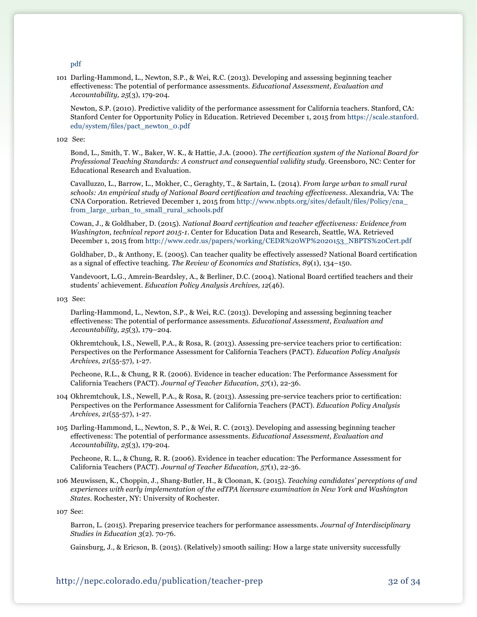#### [pdf](http://www.highered.nysed.gov/tcert/pdf/CertificationExaminationTopics.pdf)

101 Darling-Hammond, L., Newton, S.P., & Wei, R.C. (2013). Developing and assessing beginning teacher effectiveness: The potential of performance assessments. *Educational Assessment, Evaluation and Accountability, 25*(3), 179-204*.*

Newton, S.P. (2010). Predictive validity of the performance assessment for California teachers. Stanford, CA: Stanford Center for Opportunity Policy in Education. Retrieved December 1, 2015 from [https://scale.stanford.](https://scale.stanford.edu/system/files/pact_newton_0.pdf) [edu/system/files/pact\\_newton\\_0.pdf](https://scale.stanford.edu/system/files/pact_newton_0.pdf)

#### 102 See:

Bond, L., Smith, T. W., Baker, W. K., & Hattie, J.A. (2000). *The certification system of the National Board for Professional Teaching Standards: A construct and consequential validity study*. Greensboro, NC: Center for Educational Research and Evaluation.

Cavalluzzo, L., Barrow, L., Mokher, C., Geraghty, T., & Sartain, L. (2014). *From large urban to small rural schools: An empirical study of National Board certification and teaching effectiveness*. Alexandria, VA: The CNA Corporation. Retrieved December 1, 2015 from [http://www.nbpts.org/sites/default/files/Policy/cna\\_](http://www.nbpts.org/sites/default/files/Policy/cna_from_large_urban_to_small_rural_schools.pdf) [from\\_large\\_urban\\_to\\_small\\_rural\\_schools.pdf](http://www.nbpts.org/sites/default/files/Policy/cna_from_large_urban_to_small_rural_schools.pdf)

Cowan, J., & Goldhaber, D. (2015). *National Board certification and teacher effectiveness: Evidence from Washington, technical report 2015-1*. Center for Education Data and Research, Seattle, WA. Retrieved December 1, 2015 from [http://www.cedr.us/papers/working/CEDR%20WP%2020153\\_NBPTS%20Cert.pdf](http://www.cedr.us/papers/working/CEDR%20WP%2020153_NBPTS%20Cert.pdf)

 Goldhaber, D., & Anthony, E. (2005). Can teacher quality be effectively assessed? National Board certification as a signal of effective teaching. *The Review of Economics and Statistics, 89*(1), 134–150.

 Vandevoort, L.G., Amrein-Beardsley, A., & Berliner, D.C. (2004). National Board certified teachers and their students' achievement. *Education Policy Analysis Archives, 12*(46).

#### 103 See:

Darling-Hammond, L., Newton, S.P., & Wei, R.C. (2013). Developing and assessing beginning teacher effectiveness: The potential of performance assessments. *Educational Assessment, Evaluation and Accountability, 25*(3), 179–204.

 Okhremtchouk, I.S., Newell, P.A., & Rosa, R. (2013). Assessing pre-service teachers prior to certification: Perspectives on the Performance Assessment for California Teachers (PACT). *Education Policy Analysis Archives, 21*(55-57), 1-27.

Pecheone, R.L., & Chung, R R. (2006). Evidence in teacher education: The Performance Assessment for California Teachers (PACT). *Journal of Teacher Education, 57*(1), 22-36.

- 104 Okhremtchouk, I.S., Newell, P.A., & Rosa, R. (2013). Assessing pre-service teachers prior to certification: Perspectives on the Performance Assessment for California Teachers (PACT). *Education Policy Analysis Archives, 21*(55-57), 1-27.
- 105 Darling-Hammond, L., Newton, S. P., & Wei, R. C. (2013). Developing and assessing beginning teacher effectiveness: The potential of performance assessments. *Educational Assessment, Evaluation and Accountability, 25*(3), 179-204.

Pecheone, R. L., & Chung, R. R. (2006). Evidence in teacher education: The Performance Assessment for California Teachers (PACT). *Journal of Teacher Education, 57*(1), 22-36.

106 Meuwissen, K., Choppin, J., Shang-Butler, H., & Cloonan, K. (2015). *Teaching candidates' perceptions of and experiences with early implementation of the edTPA licensure examination in New York and Washington States*. Rochester, NY: University of Rochester.

107 See:

Barron, L. (2015). Preparing preservice teachers for performance assessments. *Journal of Interdisciplinary Studies in Education 3*(2). 70-76.

Gainsburg, J., & Ericson, B. (2015). (Relatively) smooth sailing: How a large state university successfully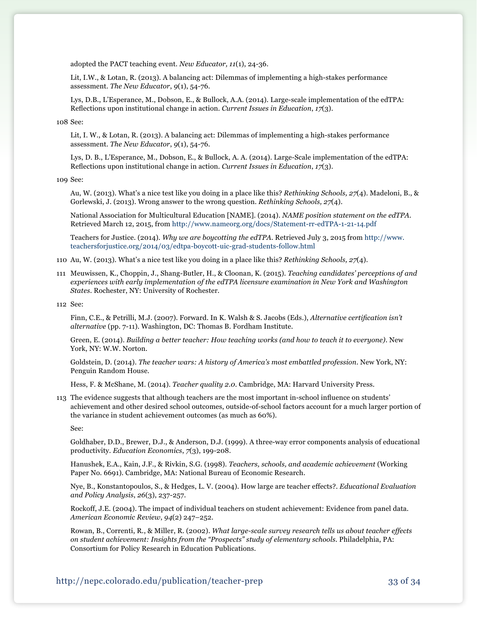adopted the PACT teaching event. *New Educator, 11*(1), 24-36.

Lit, I.W., & Lotan, R. (2013). A balancing act: Dilemmas of implementing a high-stakes performance assessment. *The New Educator*, *9*(1), 54-76.

Lys, D.B., L'Esperance, M., Dobson, E., & Bullock, A.A. (2014). Large-scale implementation of the edTPA: Reflections upon institutional change in action. *Current Issues in Education*, *17*(3).

108 See:

Lit, I. W., & Lotan, R. (2013). A balancing act: Dilemmas of implementing a high-stakes performance assessment. *The New Educator*, *9*(1), 54-76.

Lys, D. B., L'Esperance, M., Dobson, E., & Bullock, A. A. (2014). Large-Scale implementation of the edTPA: Reflections upon institutional change in action. *Current Issues in Education*, *17*(3).

109 See:

Au, W. (2013). What's a nice test like you doing in a place like this? *Rethinking Schools, 27*(4). Madeloni, B., & Gorlewski, J. (2013). Wrong answer to the wrong question. *Rethinking Schools, 27*(4).

National Association for Multicultural Education [NAME]. (2014). *NAME position statement on the edTPA*. Retrieved March 12, 2015, from <http://www.nameorg.org/docs/Statement-rr-edTPA-1-21-14.pdf>

Teachers for Justice. (2014). *Why we are boycotting the edTPA*. Retrieved July 3, 2015 from [http://www.](http://www.teachersforjustice.org/2014/03/edtpa-boycott-uic-grad-students-follow.html) [teachersforjustice.org/2014/03/edtpa-boycott-uic-grad-students-follow.html](http://www.teachersforjustice.org/2014/03/edtpa-boycott-uic-grad-students-follow.html)

- 110 Au, W. (2013). What's a nice test like you doing in a place like this? *Rethinking Schools, 27*(4).
- 111 Meuwissen, K., Choppin, J., Shang-Butler, H., & Cloonan, K. (2015). *Teaching candidates' perceptions of and experiences with early implementation of the edTPA licensure examination in New York and Washington States*. Rochester, NY: University of Rochester.

112 See:

Finn, C.E., & Petrilli, M.J. (2007). Forward. In K. Walsh & S. Jacobs (Eds.), *Alternative certification isn't alternative* (pp. 7-11). Washington, DC: Thomas B. Fordham Institute.

Green, E. (2014). *Building a better teacher: How teaching works (and how to teach it to everyone)*. New York, NY: W.W. Norton.

Goldstein, D. (2014). *The teacher wars: A history of America's most embattled profession*. New York, NY: Penguin Random House.

Hess, F. & McShane, M. (2014). *Teacher quality 2.0.* Cambridge, MA: Harvard University Press.

113 The evidence suggests that although teachers are the most important in-school influence on students' achievement and other desired school outcomes, outside-of-school factors account for a much larger portion of the variance in student achievement outcomes (as much as 60%).

See:

Goldhaber, D.D., Brewer, D.J., & Anderson, D.J. (1999). A three-way error components analysis of educational productivity. *Education Economics*, *7*(3), 199-208.

Hanushek, E.A., Kain, J.F., & Rivkin, S.G. (1998). *Teachers, schools, and academic achievement* (Working Paper No. 6691). Cambridge, MA: National Bureau of Economic Research.

 Nye, B., Konstantopoulos, S., & Hedges, L. V. (2004). How large are teacher effects?. *Educational Evaluation and Policy Analysis*, *26*(3), 237-257.

 Rockoff, J.E. (2004). The impact of individual teachers on student achievement: Evidence from panel data. *American Economic Review*, *94*(2) 247–252.

Rowan, B., Correnti, R., & Miller, R. (2002). *What large-scale survey research tells us about teacher effects on student achievement: Insights from the "Prospects" study of elementary schools*. Philadelphia, PA: Consortium for Policy Research in Education Publications.